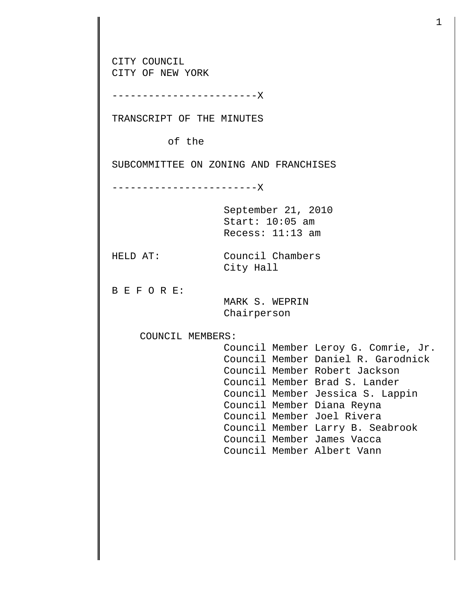CITY COUNCIL CITY OF NEW YORK ------------------------X TRANSCRIPT OF THE MINUTES of the SUBCOMMITTEE ON ZONING AND FRANCHISES ------------------------X September 21, 2010 Start: 10:05 am Recess: 11:13 am HELD AT: Council Chambers City Hall B E F O R E: MARK S. WEPRIN Chairperson COUNCIL MEMBERS: Council Member Leroy G. Comrie, Jr. Council Member Daniel R. Garodnick Council Member Robert Jackson Council Member Brad S. Lander Council Member Jessica S. Lappin Council Member Diana Reyna Council Member Joel Rivera Council Member Larry B. Seabrook Council Member James Vacca Council Member Albert Vann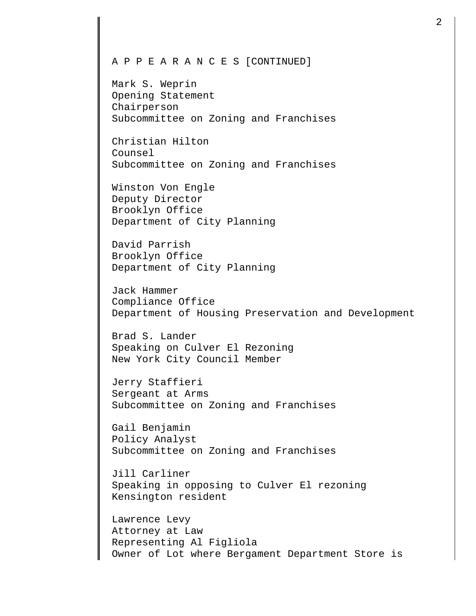## A P P E A R A N C E S [CONTINUED]

Mark S. Weprin Opening Statement Chairperson Subcommittee on Zoning and Franchises

Christian Hilton Counsel Subcommittee on Zoning and Franchises

Winston Von Engle Deputy Director Brooklyn Office Department of City Planning

David Parrish Brooklyn Office Department of City Planning

Jack Hammer Compliance Office Department of Housing Preservation and Development

Brad S. Lander Speaking on Culver El Rezoning New York City Council Member

Jerry Staffieri Sergeant at Arms Subcommittee on Zoning and Franchises

Gail Benjamin Policy Analyst Subcommittee on Zoning and Franchises

Jill Carliner Speaking in opposing to Culver El rezoning Kensington resident

Lawrence Levy Attorney at Law Representing Al Figliola Owner of Lot where Bergament Department Store is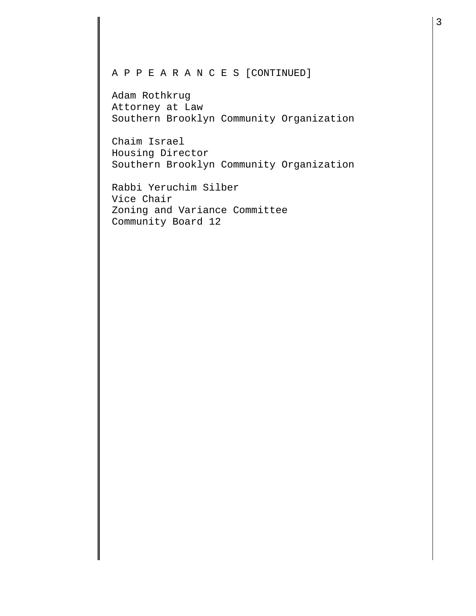## A P P E A R A N C E S [CONTINUED]

Adam Rothkrug Attorney at Law Southern Brooklyn Community Organization

Chaim Israel Housing Director Southern Brooklyn Community Organization

Rabbi Yeruchim Silber Vice Chair Zoning and Variance Committee Community Board 12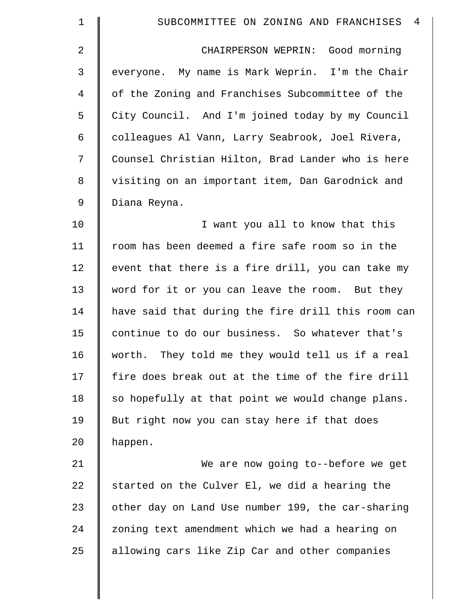| $\mathbf 1$ | SUBCOMMITTEE ON ZONING AND FRANCHISES<br>4         |
|-------------|----------------------------------------------------|
| 2           | CHAIRPERSON WEPRIN: Good morning                   |
| 3           | everyone. My name is Mark Weprin. I'm the Chair    |
| 4           | of the Zoning and Franchises Subcommittee of the   |
| 5           | City Council. And I'm joined today by my Council   |
| 6           | colleagues Al Vann, Larry Seabrook, Joel Rivera,   |
| 7           | Counsel Christian Hilton, Brad Lander who is here  |
| 8           | visiting on an important item, Dan Garodnick and   |
| 9           | Diana Reyna.                                       |
| 10          | I want you all to know that this                   |
| 11          | room has been deemed a fire safe room so in the    |
| 12          | event that there is a fire drill, you can take my  |
| 13          | word for it or you can leave the room. But they    |
| 14          | have said that during the fire drill this room can |
| 15          | continue to do our business. So whatever that's    |
| 16          | worth. They told me they would tell us if a real   |
| 17          | fire does break out at the time of the fire drill  |
| 18          | so hopefully at that point we would change plans.  |
| 19          | But right now you can stay here if that does       |
| 20          | happen.                                            |
| 21          | We are now going to--before we get                 |
| 22          | started on the Culver El, we did a hearing the     |
| 23          | other day on Land Use number 199, the car-sharing  |
| 24          | zoning text amendment which we had a hearing on    |
| 25          | allowing cars like Zip Car and other companies     |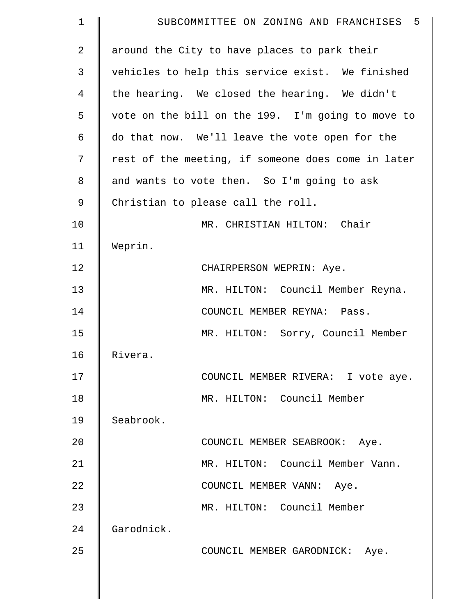| 1  | SUBCOMMITTEE ON ZONING AND FRANCHISES 5            |
|----|----------------------------------------------------|
| 2  | around the City to have places to park their       |
| 3  | vehicles to help this service exist. We finished   |
| 4  | the hearing. We closed the hearing. We didn't      |
| 5  | vote on the bill on the 199. I'm going to move to  |
| 6  | do that now. We'll leave the vote open for the     |
| 7  | rest of the meeting, if someone does come in later |
| 8  | and wants to vote then. So I'm going to ask        |
| 9  | Christian to please call the roll.                 |
| 10 | MR. CHRISTIAN HILTON: Chair                        |
| 11 | Weprin.                                            |
| 12 | CHAIRPERSON WEPRIN: Aye.                           |
| 13 | MR. HILTON: Council Member Reyna.                  |
| 14 | COUNCIL MEMBER REYNA: Pass.                        |
| 15 | MR. HILTON: Sorry, Council Member                  |
| 16 | Rivera.                                            |
| 17 | COUNCIL MEMBER RIVERA: I vote aye.                 |
| 18 | MR. HILTON: Council Member                         |
| 19 | Seabrook.                                          |
| 20 | COUNCIL MEMBER SEABROOK: Aye.                      |
| 21 | MR. HILTON: Council Member Vann.                   |
| 22 | COUNCIL MEMBER VANN: Aye.                          |
| 23 | MR. HILTON: Council Member                         |
| 24 | Garodnick.                                         |
| 25 | COUNCIL MEMBER GARODNICK: Aye.                     |
|    |                                                    |
|    |                                                    |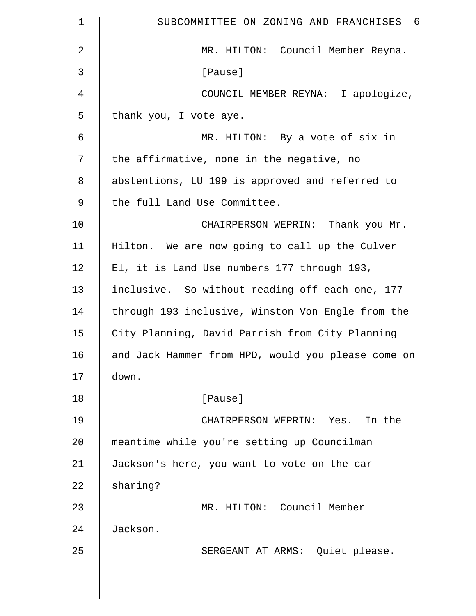| $\mathbf 1$    | - 6<br>SUBCOMMITTEE ON ZONING AND FRANCHISES       |
|----------------|----------------------------------------------------|
| $\overline{2}$ | MR. HILTON: Council Member Reyna.                  |
| 3              | [Pause]                                            |
| $\overline{4}$ | COUNCIL MEMBER REYNA: I apologize,                 |
| 5              | thank you, I vote aye.                             |
| 6              | MR. HILTON: By a vote of six in                    |
| 7              | the affirmative, none in the negative, no          |
| 8              | abstentions, LU 199 is approved and referred to    |
| 9              | the full Land Use Committee.                       |
| 10             | CHAIRPERSON WEPRIN: Thank you Mr.                  |
| 11             | Hilton. We are now going to call up the Culver     |
| 12             | El, it is Land Use numbers 177 through 193,        |
| 13             | inclusive. So without reading off each one, 177    |
| 14             | through 193 inclusive, Winston Von Engle from the  |
| 15             | City Planning, David Parrish from City Planning    |
| 16             | and Jack Hammer from HPD, would you please come on |
| 17             | down.                                              |
| 18             | [Pause]                                            |
| 19             | CHAIRPERSON WEPRIN: Yes. In the                    |
| 20             | meantime while you're setting up Councilman        |
| 21             | Jackson's here, you want to vote on the car        |
| 22             | sharing?                                           |
| 23             | MR. HILTON: Council Member                         |
| 24             | Jackson.                                           |
| 25             | SERGEANT AT ARMS: Quiet please.                    |
|                |                                                    |
|                |                                                    |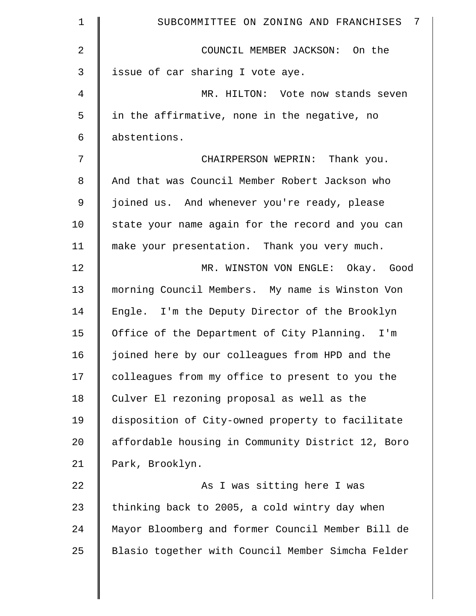| $\mathbf 1$    | SUBCOMMITTEE ON ZONING AND FRANCHISES 7           |
|----------------|---------------------------------------------------|
| $\overline{2}$ | COUNCIL MEMBER JACKSON: On the                    |
| 3              | issue of car sharing I vote aye.                  |
| 4              | MR. HILTON: Vote now stands seven                 |
| 5              | in the affirmative, none in the negative, no      |
| 6              | abstentions.                                      |
| 7              | CHAIRPERSON WEPRIN: Thank you.                    |
| 8              | And that was Council Member Robert Jackson who    |
| $\mathsf 9$    | joined us. And whenever you're ready, please      |
| 10             | state your name again for the record and you can  |
| 11             | make your presentation. Thank you very much.      |
| 12             | MR. WINSTON VON ENGLE: Okay. Good                 |
| 13             | morning Council Members. My name is Winston Von   |
| 14             | Engle. I'm the Deputy Director of the Brooklyn    |
| 15             | Office of the Department of City Planning. I'm    |
| 16             | joined here by our colleagues from HPD and the    |
| 17             | colleagues from my office to present to you the   |
| 18             | Culver El rezoning proposal as well as the        |
| 19             | disposition of City-owned property to facilitate  |
| 20             | affordable housing in Community District 12, Boro |
| 21             | Park, Brooklyn.                                   |
| 22             | As I was sitting here I was                       |
| 23             | thinking back to 2005, a cold wintry day when     |
| 24             | Mayor Bloomberg and former Council Member Bill de |
| 25             | Blasio together with Council Member Simcha Felder |
|                |                                                   |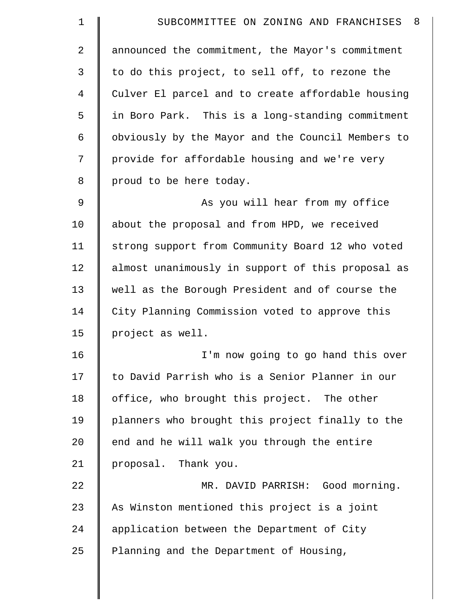| - 8<br>SUBCOMMITTEE ON ZONING AND FRANCHISES      |
|---------------------------------------------------|
| announced the commitment, the Mayor's commitment  |
| to do this project, to sell off, to rezone the    |
| Culver El parcel and to create affordable housing |
| in Boro Park. This is a long-standing commitment  |
| obviously by the Mayor and the Council Members to |
| provide for affordable housing and we're very     |
| proud to be here today.                           |
| As you will hear from my office                   |
| about the proposal and from HPD, we received      |
| strong support from Community Board 12 who voted  |
| almost unanimously in support of this proposal as |
| well as the Borough President and of course the   |
| City Planning Commission voted to approve this    |
| project as well.                                  |
| I'm now going to go hand this over                |
| to David Parrish who is a Senior Planner in our   |
| office, who brought this project. The other       |
| planners who brought this project finally to the  |
| end and he will walk you through the entire       |
| proposal. Thank you.                              |
| MR. DAVID PARRISH: Good morning.                  |
| As Winston mentioned this project is a joint      |
| application between the Department of City        |
| Planning and the Department of Housing,           |
|                                                   |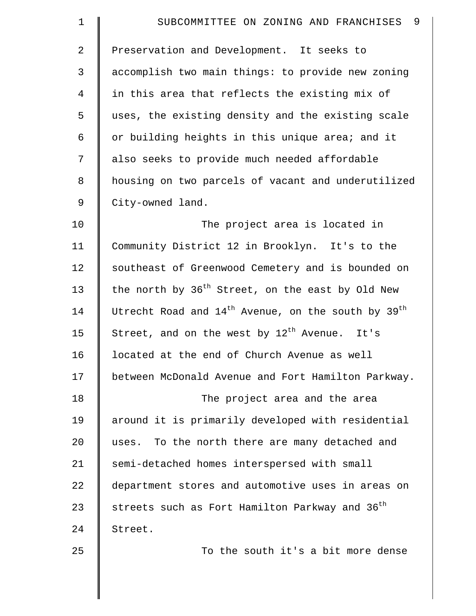| $\mathbf 1$    | 9<br>SUBCOMMITTEE ON ZONING AND FRANCHISES                   |
|----------------|--------------------------------------------------------------|
| $\overline{2}$ | Preservation and Development. It seeks to                    |
| 3              | accomplish two main things: to provide new zoning            |
| $\overline{4}$ | in this area that reflects the existing mix of               |
| 5              | uses, the existing density and the existing scale            |
| 6              | or building heights in this unique area; and it              |
| 7              | also seeks to provide much needed affordable                 |
| 8              | housing on two parcels of vacant and underutilized           |
| 9              | City-owned land.                                             |
| 10             | The project area is located in                               |
| 11             | Community District 12 in Brooklyn. It's to the               |
| 12             | southeast of Greenwood Cemetery and is bounded on            |
| 13             | the north by 36 <sup>th</sup> Street, on the east by Old New |
| 14             | Utrecht Road and $14^{th}$ Avenue, on the south by $39^{th}$ |
| 15             | Street, and on the west by 12 <sup>th</sup> Avenue. It's     |
| 16             | located at the end of Church Avenue as well                  |
| 17             | between McDonald Avenue and Fort Hamilton Parkway.           |
| 18             | The project area and the area                                |
| 19             | around it is primarily developed with residential            |
| 20             | uses. To the north there are many detached and               |
| 21             | semi-detached homes interspersed with small                  |
| 22             | department stores and automotive uses in areas on            |
| 23             | streets such as Fort Hamilton Parkway and 36 <sup>th</sup>   |
| 24             | Street.                                                      |
| 25             | To the south it's a bit more dense                           |
|                |                                                              |
|                |                                                              |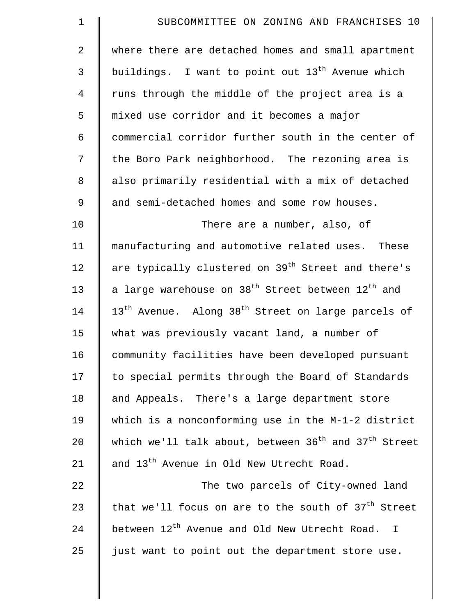| $\mathbf 1$    | SUBCOMMITTEE ON ZONING AND FRANCHISES 10                                     |
|----------------|------------------------------------------------------------------------------|
| $\overline{a}$ | where there are detached homes and small apartment                           |
| 3              | buildings. I want to point out 13 <sup>th</sup> Avenue which                 |
| 4              | runs through the middle of the project area is a                             |
| 5              | mixed use corridor and it becomes a major                                    |
| 6              | commercial corridor further south in the center of                           |
| 7              | the Boro Park neighborhood. The rezoning area is                             |
| 8              | also primarily residential with a mix of detached                            |
| 9              | and semi-detached homes and some row houses.                                 |
| 10             | There are a number, also, of                                                 |
| 11             | manufacturing and automotive related uses. These                             |
| 12             | are typically clustered on 39 <sup>th</sup> Street and there's               |
| 13             | a large warehouse on 38 <sup>th</sup> Street between 12 <sup>th</sup> and    |
| 14             | 13 <sup>th</sup> Avenue. Along 38 <sup>th</sup> Street on large parcels of   |
| 15             | what was previously vacant land, a number of                                 |
| 16             | community facilities have been developed pursuant                            |
| 17             | to special permits through the Board of Standards                            |
| 18             | and Appeals. There's a large department store                                |
| 19             | which is a nonconforming use in the M-1-2 district                           |
| 20             | which we'll talk about, between 36 <sup>th</sup> and 37 <sup>th</sup> Street |
| 21             | and 13 <sup>th</sup> Avenue in Old New Utrecht Road.                         |
| 22             | The two parcels of City-owned land                                           |
| 23             | that we'll focus on are to the south of $37th$ Street                        |
| 24             | between 12 <sup>th</sup> Avenue and Old New Utrecht Road. I                  |
| 25             | just want to point out the department store use.                             |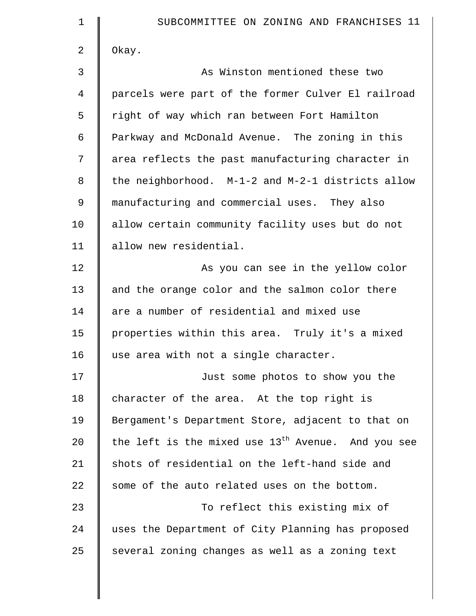| $\mathbf 1$ | SUBCOMMITTEE ON ZONING AND FRANCHISES 11             |
|-------------|------------------------------------------------------|
| 2           | Okay.                                                |
| 3           | As Winston mentioned these two                       |
| 4           | parcels were part of the former Culver El railroad   |
| 5           | right of way which ran between Fort Hamilton         |
| 6           | Parkway and McDonald Avenue. The zoning in this      |
| 7           | area reflects the past manufacturing character in    |
| 8           | the neighborhood. M-1-2 and M-2-1 districts allow    |
| 9           | manufacturing and commercial uses. They also         |
| 10          | allow certain community facility uses but do not     |
| 11          | allow new residential.                               |
| 12          | As you can see in the yellow color                   |
| 13          | and the orange color and the salmon color there      |
| 14          | are a number of residential and mixed use            |
| 15          | properties within this area. Truly it's a mixed      |
| 16          | use area with not a single character.                |
| 17          | Just some photos to show you the                     |
| 18          | character of the area. At the top right is           |
| 19          | Bergament's Department Store, adjacent to that on    |
| 20          | the left is the mixed use $13th$ Avenue. And you see |
| 21          | shots of residential on the left-hand side and       |
| 22          | some of the auto related uses on the bottom.         |
| 23          | To reflect this existing mix of                      |
| 24          | uses the Department of City Planning has proposed    |
| 25          | several zoning changes as well as a zoning text      |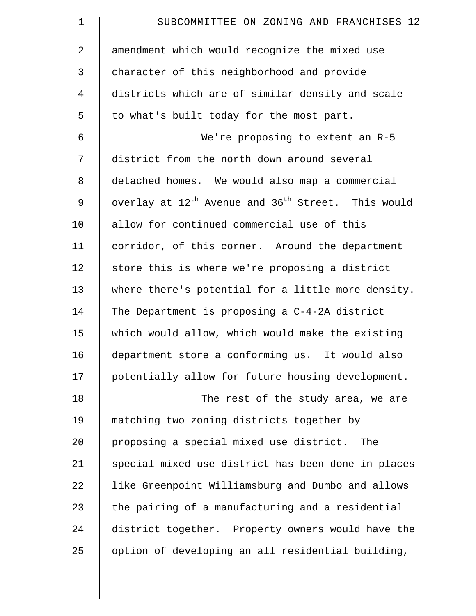| $\mathbf 1$    | SUBCOMMITTEE ON ZONING AND FRANCHISES 12                                   |
|----------------|----------------------------------------------------------------------------|
| $\overline{2}$ | amendment which would recognize the mixed use                              |
| 3              | character of this neighborhood and provide                                 |
| $\overline{4}$ | districts which are of similar density and scale                           |
| 5              | to what's built today for the most part.                                   |
| 6              | We're proposing to extent an R-5                                           |
| 7              | district from the north down around several                                |
| 8              | detached homes. We would also map a commercial                             |
| 9              | overlay at 12 <sup>th</sup> Avenue and 36 <sup>th</sup> Street. This would |
| 10             | allow for continued commercial use of this                                 |
| 11             | corridor, of this corner. Around the department                            |
| 12             | store this is where we're proposing a district                             |
| 13             | where there's potential for a little more density.                         |
| 14             | The Department is proposing a C-4-2A district                              |
| 15             | which would allow, which would make the existing                           |
| 16             | department store a conforming us. It would also                            |
| 17             | potentially allow for future housing development.                          |
| 18             | The rest of the study area, we are                                         |
| 19             | matching two zoning districts together by                                  |
| 20             | proposing a special mixed use district. The                                |
| 21             | special mixed use district has been done in places                         |
| 22             | like Greenpoint Williamsburg and Dumbo and allows                          |
| 23             | the pairing of a manufacturing and a residential                           |
| 24             | district together. Property owners would have the                          |
| 25             | option of developing an all residential building,                          |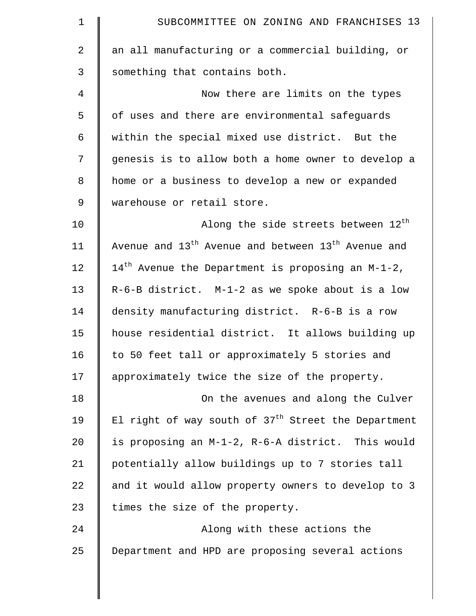| 1           | SUBCOMMITTEE ON ZONING AND FRANCHISES 13                                   |
|-------------|----------------------------------------------------------------------------|
| 2           | an all manufacturing or a commercial building, or                          |
| 3           | something that contains both.                                              |
| 4           | Now there are limits on the types                                          |
| 5           | of uses and there are environmental safeguards                             |
| 6           | within the special mixed use district. But the                             |
| 7           | genesis is to allow both a home owner to develop a                         |
| 8           | home or a business to develop a new or expanded                            |
| $\mathsf 9$ | warehouse or retail store.                                                 |
| 10          | Along the side streets between 12 <sup>th</sup>                            |
| 11          | Avenue and 13 <sup>th</sup> Avenue and between 13 <sup>th</sup> Avenue and |
| 12          | $14^{th}$ Avenue the Department is proposing an M-1-2,                     |
| 13          | R-6-B district. M-1-2 as we spoke about is a low                           |
| 14          | density manufacturing district. R-6-B is a row                             |
| 15          | house residential district. It allows building up                          |
| 16          | to 50 feet tall or approximately 5 stories and                             |
| 17          | approximately twice the size of the property.                              |
| 18          | On the avenues and along the Culver                                        |
| 19          | El right of way south of 37 <sup>th</sup> Street the Department            |
| 20          | is proposing an M-1-2, R-6-A district. This would                          |
| 21          | potentially allow buildings up to 7 stories tall                           |
| 22          | and it would allow property owners to develop to 3                         |
| 23          | times the size of the property.                                            |
| 24          | Along with these actions the                                               |
| 25          | Department and HPD are proposing several actions                           |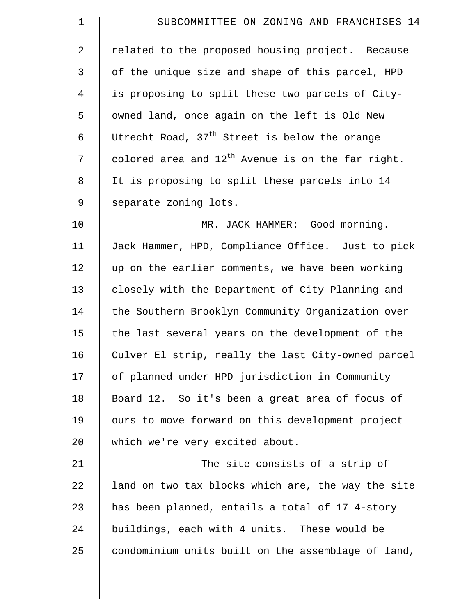| $\mathbf 1$    | SUBCOMMITTEE ON ZONING AND FRANCHISES 14               |
|----------------|--------------------------------------------------------|
| $\overline{2}$ | related to the proposed housing project. Because       |
| 3              | of the unique size and shape of this parcel, HPD       |
| $\overline{4}$ | is proposing to split these two parcels of City-       |
| 5              | owned land, once again on the left is Old New          |
| 6              | Utrecht Road, $37th$ Street is below the orange        |
| 7              | colored area and $12^{th}$ Avenue is on the far right. |
| 8              | It is proposing to split these parcels into 14         |
| 9              | separate zoning lots.                                  |
| 10             | MR. JACK HAMMER: Good morning.                         |
| 11             | Jack Hammer, HPD, Compliance Office. Just to pick      |
| 12             | up on the earlier comments, we have been working       |
| 13             | closely with the Department of City Planning and       |
| 14             | the Southern Brooklyn Community Organization over      |
| 15             | the last several years on the development of the       |
| 16             | Culver El strip, really the last City-owned parcel     |
| 17             | of planned under HPD jurisdiction in Community         |
| 18             | Board 12. So it's been a great area of focus of        |
| 19             | ours to move forward on this development project       |
| 20             | which we're very excited about.                        |
| 21             | The site consists of a strip of                        |
| 22             | land on two tax blocks which are, the way the site     |
| 23             | has been planned, entails a total of 17 4-story        |
| 24             | buildings, each with 4 units. These would be           |
| 25             | condominium units built on the assemblage of land,     |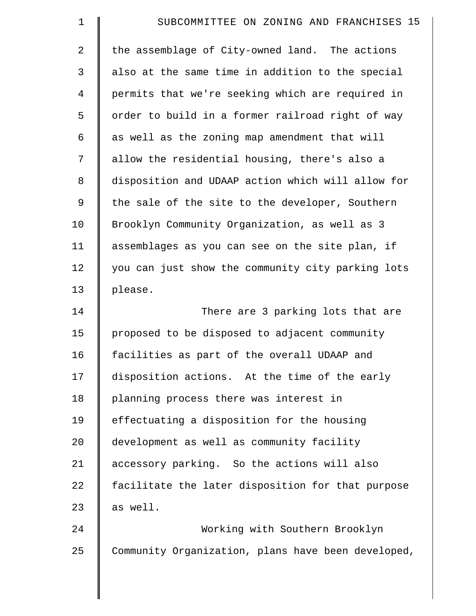| $\mathbf 1$    | SUBCOMMITTEE ON ZONING AND FRANCHISES 15          |
|----------------|---------------------------------------------------|
| $\overline{2}$ | the assemblage of City-owned land. The actions    |
| 3              | also at the same time in addition to the special  |
| $\overline{4}$ | permits that we're seeking which are required in  |
| 5              | order to build in a former railroad right of way  |
| 6              | as well as the zoning map amendment that will     |
| 7              | allow the residential housing, there's also a     |
| 8              | disposition and UDAAP action which will allow for |
| 9              | the sale of the site to the developer, Southern   |
| 10             | Brooklyn Community Organization, as well as 3     |
| 11             | assemblages as you can see on the site plan, if   |
| 12             | you can just show the community city parking lots |
| 13             | please.                                           |
| 14             | There are 3 parking lots that are                 |
| 15             | proposed to be disposed to adjacent community     |
| 16             | facilities as part of the overall UDAAP and       |
| 17             | disposition actions. At the time of the early     |
| 18             | planning process there was interest in            |
| 19             | effectuating a disposition for the housing        |
| 20             | development as well as community facility         |
| 21             | accessory parking. So the actions will also       |
| 22             | facilitate the later disposition for that purpose |
| 23             | as well.                                          |
| 24             | Working with Southern Brooklyn                    |
| 25             |                                                   |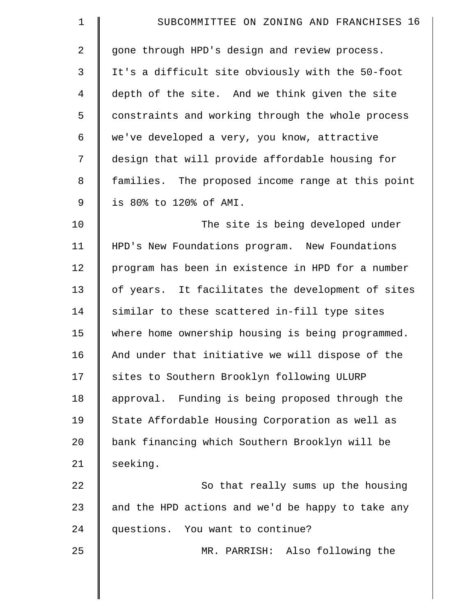| $\mathbf 1$    | SUBCOMMITTEE ON ZONING AND FRANCHISES 16          |
|----------------|---------------------------------------------------|
| $\overline{2}$ | gone through HPD's design and review process.     |
| 3              | It's a difficult site obviously with the 50-foot  |
| $\overline{4}$ | depth of the site. And we think given the site    |
| 5              | constraints and working through the whole process |
| 6              | we've developed a very, you know, attractive      |
| 7              | design that will provide affordable housing for   |
| $\,8\,$        | families. The proposed income range at this point |
| 9              | is 80% to 120% of AMI.                            |
| 10             | The site is being developed under                 |
| 11             | HPD's New Foundations program. New Foundations    |
| 12             | program has been in existence in HPD for a number |
| 13             | of years. It facilitates the development of sites |
| 14             | similar to these scattered in-fill type sites     |
| 15             | where home ownership housing is being programmed. |
| 16             | And under that initiative we will dispose of the  |
| 17             | sites to Southern Brooklyn following ULURP        |
| 18             | approval. Funding is being proposed through the   |
| 19             | State Affordable Housing Corporation as well as   |
| 20             | bank financing which Southern Brooklyn will be    |
| 21             | seeking.                                          |
| 22             | So that really sums up the housing                |
| 23             | and the HPD actions and we'd be happy to take any |
| 24             | questions. You want to continue?                  |
| 25             | MR. PARRISH: Also following the                   |
|                |                                                   |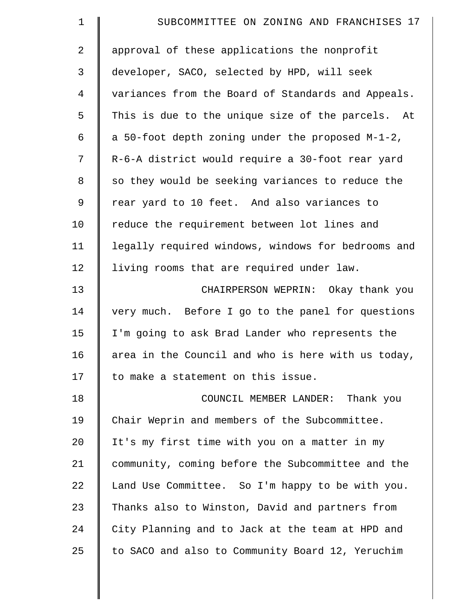| $\mathbf 1$    | SUBCOMMITTEE ON ZONING AND FRANCHISES 17           |
|----------------|----------------------------------------------------|
| $\overline{2}$ | approval of these applications the nonprofit       |
| 3              | developer, SACO, selected by HPD, will seek        |
| 4              | variances from the Board of Standards and Appeals. |
| 5              | This is due to the unique size of the parcels. At  |
| 6              | a 50-foot depth zoning under the proposed M-1-2,   |
| 7              | R-6-A district would require a 30-foot rear yard   |
| 8              | so they would be seeking variances to reduce the   |
| 9              | rear yard to 10 feet. And also variances to        |
| 10             | reduce the requirement between lot lines and       |
| 11             | legally required windows, windows for bedrooms and |
| 12             | living rooms that are required under law.          |
| 13             | CHAIRPERSON WEPRIN: Okay thank you                 |
| 14             | very much. Before I go to the panel for questions  |
| 15             | I'm going to ask Brad Lander who represents the    |
| 16             | area in the Council and who is here with us today, |
| 17             | to make a statement on this issue.                 |
| 18             | COUNCIL MEMBER LANDER: Thank you                   |
| 19             | Chair Weprin and members of the Subcommittee.      |
| 20             | It's my first time with you on a matter in my      |
| 21             | community, coming before the Subcommittee and the  |
| 22             | Land Use Committee. So I'm happy to be with you.   |
| 23             | Thanks also to Winston, David and partners from    |
| 24             | City Planning and to Jack at the team at HPD and   |
| 25             | to SACO and also to Community Board 12, Yeruchim   |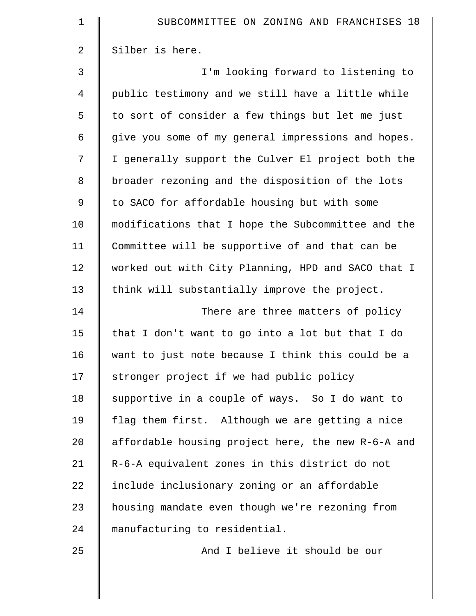| $\mathbf 1$    | SUBCOMMITTEE ON ZONING AND FRANCHISES 18           |
|----------------|----------------------------------------------------|
| $\overline{2}$ | Silber is here.                                    |
| 3              | I'm looking forward to listening to                |
| $\overline{4}$ | public testimony and we still have a little while  |
| 5              | to sort of consider a few things but let me just   |
| 6              | give you some of my general impressions and hopes. |
| 7              | I generally support the Culver El project both the |
| 8              | broader rezoning and the disposition of the lots   |
| $\mathsf 9$    | to SACO for affordable housing but with some       |
| 10             | modifications that I hope the Subcommittee and the |
| 11             | Committee will be supportive of and that can be    |
| 12             | worked out with City Planning, HPD and SACO that I |
| 13             | think will substantially improve the project.      |
| 14             | There are three matters of policy                  |
| 15             | that I don't want to go into a lot but that I do   |
| 16             | want to just note because I think this could be a  |
| 17             | stronger project if we had public policy           |
| 18             | supportive in a couple of ways. So I do want to    |
| 19             | flag them first. Although we are getting a nice    |
| 20             | affordable housing project here, the new R-6-A and |
| 21             | R-6-A equivalent zones in this district do not     |
| 22             | include inclusionary zoning or an affordable       |
| 23             | housing mandate even though we're rezoning from    |
| 24             | manufacturing to residential.                      |
| 25             | And I believe it should be our                     |
|                |                                                    |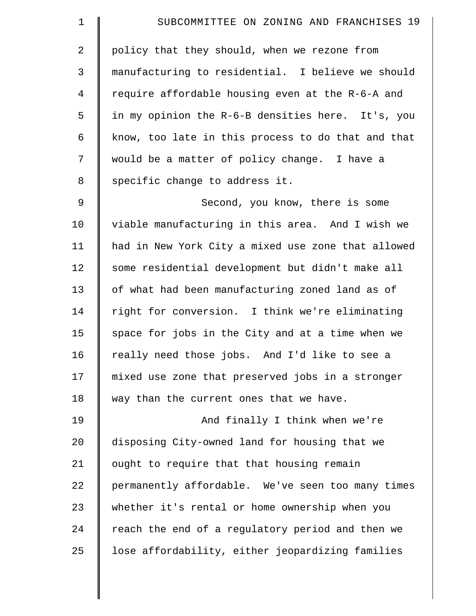| $\mathbf 1$    | SUBCOMMITTEE ON ZONING AND FRANCHISES 19           |
|----------------|----------------------------------------------------|
| $\overline{2}$ | policy that they should, when we rezone from       |
| 3              | manufacturing to residential. I believe we should  |
| 4              | require affordable housing even at the R-6-A and   |
| 5              | in my opinion the R-6-B densities here. It's, you  |
| 6              | know, too late in this process to do that and that |
| 7              | would be a matter of policy change. I have a       |
| $\,8\,$        | specific change to address it.                     |
| $\mathsf 9$    | Second, you know, there is some                    |
| 10             | viable manufacturing in this area. And I wish we   |
| 11             | had in New York City a mixed use zone that allowed |
| 12             | some residential development but didn't make all   |
| 13             | of what had been manufacturing zoned land as of    |
| 14             | right for conversion. I think we're eliminating    |
| 15             | space for jobs in the City and at a time when we   |
| 16             | really need those jobs. And I'd like to see a      |
| 17             | mixed use zone that preserved jobs in a stronger   |
| 18             | way than the current ones that we have.            |
| 19             | And finally I think when we're                     |
| 20             | disposing City-owned land for housing that we      |
| 21             | ought to require that that housing remain          |
| 22             | permanently affordable. We've seen too many times  |
| 23             | whether it's rental or home ownership when you     |
| 24             | reach the end of a regulatory period and then we   |
| 25             | lose affordability, either jeopardizing families   |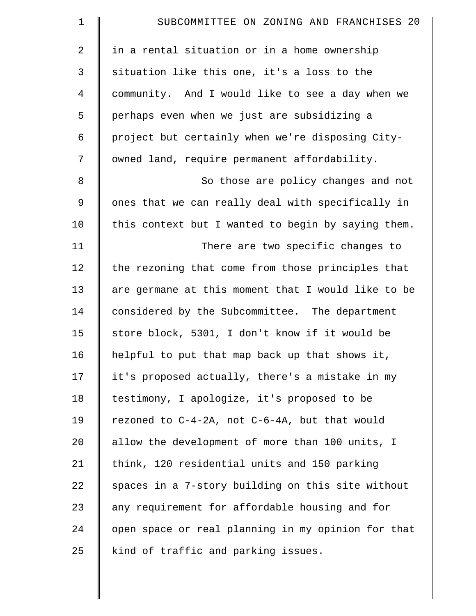| $\mathbf 1$    | SUBCOMMITTEE ON ZONING AND FRANCHISES 20           |
|----------------|----------------------------------------------------|
| $\overline{2}$ | in a rental situation or in a home ownership       |
| 3              | situation like this one, it's a loss to the        |
| $\overline{4}$ | community. And I would like to see a day when we   |
| 5              | perhaps even when we just are subsidizing a        |
| 6              | project but certainly when we're disposing City-   |
| 7              | owned land, require permanent affordability.       |
| 8              | So those are policy changes and not                |
| $\mathsf 9$    | ones that we can really deal with specifically in  |
| 10             | this context but I wanted to begin by saying them. |
| 11             | There are two specific changes to                  |
| 12             | the rezoning that come from those principles that  |
| 13             | are germane at this moment that I would like to be |
| 14             | considered by the Subcommittee. The department     |
| 15             | store block, 5301, I don't know if it would be     |
| 16             | helpful to put that map back up that shows it,     |
| 17             | it's proposed actually, there's a mistake in my    |
| 18             | testimony, I apologize, it's proposed to be        |
| 19             | rezoned to C-4-2A, not C-6-4A, but that would      |
| 20             | allow the development of more than 100 units, I    |
| 21             | think, 120 residential units and 150 parking       |
| 22             | spaces in a 7-story building on this site without  |
| 23             | any requirement for affordable housing and for     |
| 24             | open space or real planning in my opinion for that |
| 25             | kind of traffic and parking issues.                |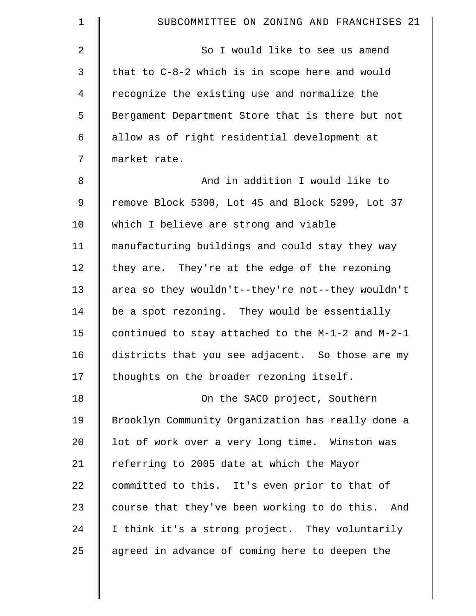| $\mathbf 1$    | SUBCOMMITTEE ON ZONING AND FRANCHISES 21            |
|----------------|-----------------------------------------------------|
| 2              | So I would like to see us amend                     |
| 3              | that to C-8-2 which is in scope here and would      |
| $\overline{4}$ | recognize the existing use and normalize the        |
| 5              | Bergament Department Store that is there but not    |
| 6              | allow as of right residential development at        |
| 7              | market rate.                                        |
| 8              | And in addition I would like to                     |
| 9              | remove Block 5300, Lot 45 and Block 5299, Lot 37    |
| 10             | which I believe are strong and viable               |
| 11             | manufacturing buildings and could stay they way     |
| 12             | they are. They're at the edge of the rezoning       |
| 13             | area so they wouldn't--they're not--they wouldn't   |
| 14             | be a spot rezoning. They would be essentially       |
| 15             | continued to stay attached to the M-1-2 and M-2-1   |
| 16             | districts that you see adjacent. So those are my    |
| 17             | thoughts on the broader rezoning itself.            |
| 18             | On the SACO project, Southern                       |
| 19             | Brooklyn Community Organization has really done a   |
| 20             | lot of work over a very long time. Winston was      |
| 21             | referring to 2005 date at which the Mayor           |
| 22             | committed to this. It's even prior to that of       |
| 23             | course that they've been working to do this.<br>And |
| 24             | I think it's a strong project. They voluntarily     |
| 25             | agreed in advance of coming here to deepen the      |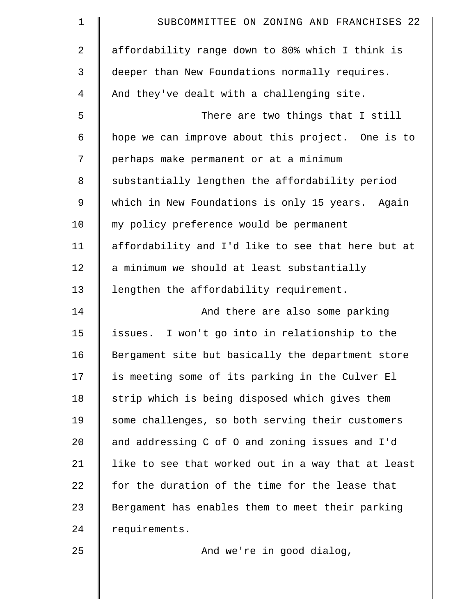| 1              | SUBCOMMITTEE ON ZONING AND FRANCHISES 22           |
|----------------|----------------------------------------------------|
| $\overline{2}$ | affordability range down to 80% which I think is   |
| $\mathfrak{Z}$ | deeper than New Foundations normally requires.     |
| $\overline{4}$ | And they've dealt with a challenging site.         |
| 5              | There are two things that I still                  |
| 6              | hope we can improve about this project. One is to  |
| 7              | perhaps make permanent or at a minimum             |
| 8              | substantially lengthen the affordability period    |
| $\mathsf 9$    | which in New Foundations is only 15 years. Again   |
| 10             | my policy preference would be permanent            |
| 11             | affordability and I'd like to see that here but at |
| 12             | a minimum we should at least substantially         |
| 13             | lengthen the affordability requirement.            |
| 14             | And there are also some parking                    |
| 15             | issues. I won't go into in relationship to the     |
| 16             | Bergament site but basically the department store  |
| 17             | is meeting some of its parking in the Culver El    |
| 18             | strip which is being disposed which gives them     |
| 19             | some challenges, so both serving their customers   |
| 20             | and addressing C of O and zoning issues and I'd    |
| 21             | like to see that worked out in a way that at least |
| 22             | for the duration of the time for the lease that    |
| 23             | Bergament has enables them to meet their parking   |
| 24             | requirements.                                      |
| 25             | And we're in good dialog,                          |
|                |                                                    |
|                |                                                    |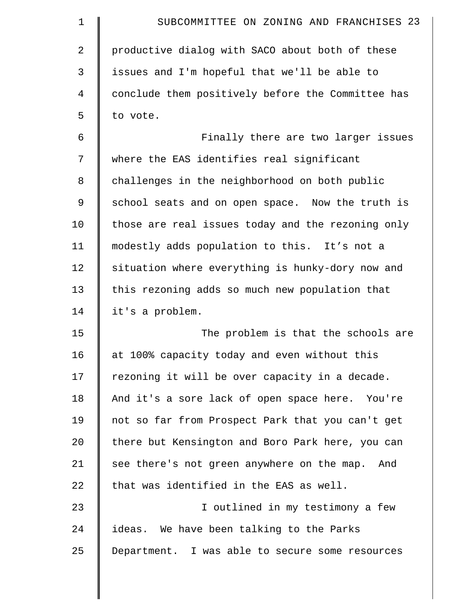| $\mathbf 1$ | SUBCOMMITTEE ON ZONING AND FRANCHISES 23          |
|-------------|---------------------------------------------------|
| 2           | productive dialog with SACO about both of these   |
| 3           | issues and I'm hopeful that we'll be able to      |
| 4           | conclude them positively before the Committee has |
| 5           | to vote.                                          |
| 6           | Finally there are two larger issues               |
| 7           | where the EAS identifies real significant         |
| 8           | challenges in the neighborhood on both public     |
| 9           | school seats and on open space. Now the truth is  |
| 10          | those are real issues today and the rezoning only |
| 11          | modestly adds population to this. It's not a      |
| 12          | situation where everything is hunky-dory now and  |
| 13          | this rezoning adds so much new population that    |
| 14          | it's a problem.                                   |
| 15          | The problem is that the schools are               |
| 16          | at 100% capacity today and even without this      |
| 17          | rezoning it will be over capacity in a decade.    |
| 18          | And it's a sore lack of open space here. You're   |
| 19          | not so far from Prospect Park that you can't get  |
| 20          | there but Kensington and Boro Park here, you can  |
| 21          | see there's not green anywhere on the map. And    |
| 22          | that was identified in the EAS as well.           |
| 23          | I outlined in my testimony a few                  |
| 24          | ideas. We have been talking to the Parks          |
| 25          | Department. I was able to secure some resources   |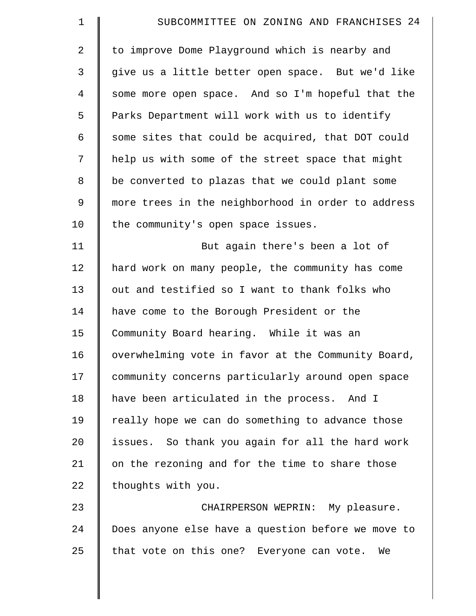| $\mathbf 1$    | SUBCOMMITTEE ON ZONING AND FRANCHISES 24           |
|----------------|----------------------------------------------------|
| 2              | to improve Dome Playground which is nearby and     |
| 3              | give us a little better open space. But we'd like  |
| $\overline{4}$ | some more open space. And so I'm hopeful that the  |
| 5              | Parks Department will work with us to identify     |
| 6              | some sites that could be acquired, that DOT could  |
| 7              | help us with some of the street space that might   |
| 8              | be converted to plazas that we could plant some    |
| 9              | more trees in the neighborhood in order to address |
| 10             | the community's open space issues.                 |
| 11             | But again there's been a lot of                    |
| 12             | hard work on many people, the community has come   |
| 13             | out and testified so I want to thank folks who     |
| 14             | have come to the Borough President or the          |
| 15             | Community Board hearing. While it was an           |
| 16             | overwhelming vote in favor at the Community Board, |
| 17             | community concerns particularly around open space  |
| 18             | have been articulated in the process. And I        |
| 19             | really hope we can do something to advance those   |
| 20             | issues. So thank you again for all the hard work   |
| 21             | on the rezoning and for the time to share those    |
| 22             | thoughts with you.                                 |
| 23             | CHAIRPERSON WEPRIN: My pleasure.                   |
| 24             | Does anyone else have a question before we move to |
| 25             | that vote on this one? Everyone can vote.<br>We    |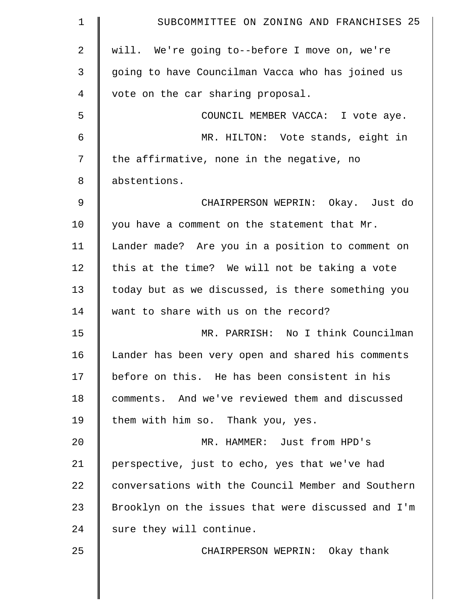| $\mathbf 1$    | SUBCOMMITTEE ON ZONING AND FRANCHISES 25           |
|----------------|----------------------------------------------------|
| $\overline{2}$ | will. We're going to--before I move on, we're      |
| 3              | going to have Councilman Vacca who has joined us   |
| 4              | vote on the car sharing proposal.                  |
| 5              | COUNCIL MEMBER VACCA: I vote aye.                  |
| 6              | MR. HILTON: Vote stands, eight in                  |
| 7              | the affirmative, none in the negative, no          |
| 8              | abstentions.                                       |
| $\mathsf 9$    | CHAIRPERSON WEPRIN: Okay. Just do                  |
| 10             | you have a comment on the statement that Mr.       |
| 11             | Lander made? Are you in a position to comment on   |
| 12             | this at the time? We will not be taking a vote     |
| 13             | today but as we discussed, is there something you  |
| 14             | want to share with us on the record?               |
| 15             | MR. PARRISH: No I think Councilman                 |
| 16             | Lander has been very open and shared his comments  |
| 17             | before on this. He has been consistent in his      |
| 18             | comments. And we've reviewed them and discussed    |
| 19             | them with him so. Thank you, yes.                  |
| 20             | MR. HAMMER: Just from HPD's                        |
| 21             | perspective, just to echo, yes that we've had      |
| 22             | conversations with the Council Member and Southern |
| 23             | Brooklyn on the issues that were discussed and I'm |
| 24             | sure they will continue.                           |
| 25             | CHAIRPERSON WEPRIN: Okay thank                     |
|                |                                                    |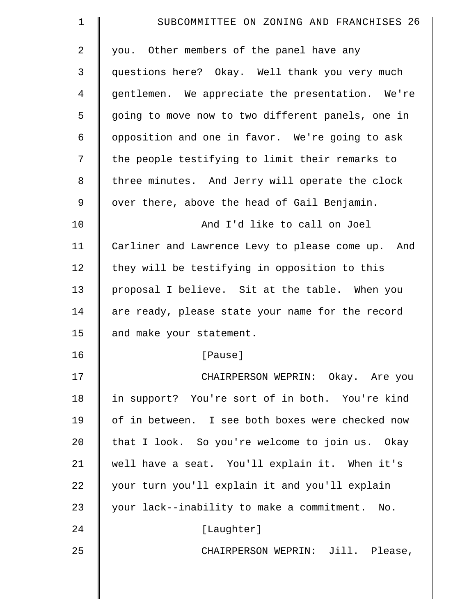| $\mathbf 1$    | SUBCOMMITTEE ON ZONING AND FRANCHISES 26          |
|----------------|---------------------------------------------------|
| 2              | you. Other members of the panel have any          |
| 3              | questions here? Okay. Well thank you very much    |
| $\overline{4}$ | gentlemen. We appreciate the presentation. We're  |
| 5              | going to move now to two different panels, one in |
| 6              | opposition and one in favor. We're going to ask   |
| 7              | the people testifying to limit their remarks to   |
| 8              | three minutes. And Jerry will operate the clock   |
| 9              | over there, above the head of Gail Benjamin.      |
| 10             | And I'd like to call on Joel                      |
| 11             | Carliner and Lawrence Levy to please come up. And |
| 12             | they will be testifying in opposition to this     |
| 13             | proposal I believe. Sit at the table. When you    |
| 14             | are ready, please state your name for the record  |
| 15             | and make your statement.                          |
| 16             | [Pause]                                           |
| 17             | CHAIRPERSON WEPRIN: Okay. Are you                 |
| 18             | in support? You're sort of in both. You're kind   |
| 19             | of in between. I see both boxes were checked now  |
| 20             | that I look. So you're welcome to join us. Okay   |
| 21             | well have a seat. You'll explain it. When it's    |
| 22             | your turn you'll explain it and you'll explain    |
| 23             | your lack--inability to make a commitment. No.    |
| 24             | [Laughter]                                        |
| 25             | CHAIRPERSON WEPRIN: Jill. Please,                 |
|                |                                                   |
|                |                                                   |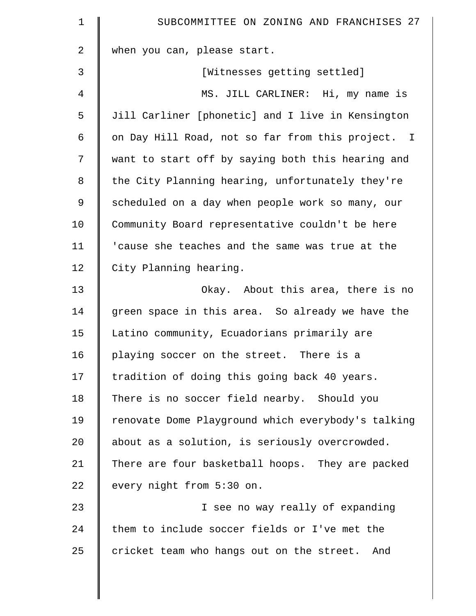| $\mathbf 1$ | SUBCOMMITTEE ON ZONING AND FRANCHISES 27           |
|-------------|----------------------------------------------------|
| 2           | when you can, please start.                        |
| 3           | [Witnesses getting settled]                        |
| 4           | MS. JILL CARLINER: Hi, my name is                  |
| 5           | Jill Carliner [phonetic] and I live in Kensington  |
| 6           | on Day Hill Road, not so far from this project. I  |
| 7           | want to start off by saying both this hearing and  |
| 8           | the City Planning hearing, unfortunately they're   |
| $\mathsf 9$ | scheduled on a day when people work so many, our   |
| 10          | Community Board representative couldn't be here    |
| 11          | 'cause she teaches and the same was true at the    |
| 12          | City Planning hearing.                             |
| 13          | Okay. About this area, there is no                 |
| 14          | green space in this area. So already we have the   |
| 15          | Latino community, Ecuadorians primarily are        |
| 16          | playing soccer on the street. There is a           |
| 17          | tradition of doing this going back 40 years.       |
| 18          | There is no soccer field nearby. Should you        |
| 19          | renovate Dome Playground which everybody's talking |
| 20          | about as a solution, is seriously overcrowded.     |
| 21          | There are four basketball hoops. They are packed   |
| 22          | every night from 5:30 on.                          |
| 23          | I see no way really of expanding                   |
| 24          | them to include soccer fields or I've met the      |
| 25          | cricket team who hangs out on the street. And      |
|             |                                                    |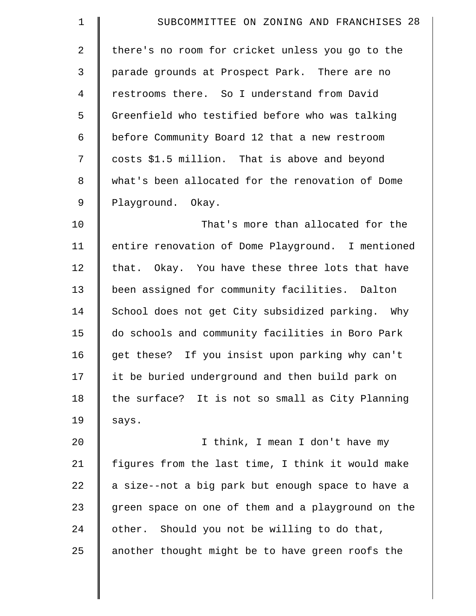| $\mathbf 1$    | SUBCOMMITTEE ON ZONING AND FRANCHISES 28           |
|----------------|----------------------------------------------------|
| $\overline{a}$ | there's no room for cricket unless you go to the   |
| 3              | parade grounds at Prospect Park. There are no      |
| 4              | restrooms there. So I understand from David        |
| 5              | Greenfield who testified before who was talking    |
| 6              | before Community Board 12 that a new restroom      |
| 7              | costs \$1.5 million. That is above and beyond      |
| 8              | what's been allocated for the renovation of Dome   |
| 9              | Playground. Okay.                                  |
| 10             | That's more than allocated for the                 |
| 11             | entire renovation of Dome Playground. I mentioned  |
| 12             | that. Okay. You have these three lots that have    |
| 13             | been assigned for community facilities. Dalton     |
| 14             | School does not get City subsidized parking. Why   |
| 15             | do schools and community facilities in Boro Park   |
| 16             | get these? If you insist upon parking why can't    |
| 17             | it be buried underground and then build park on    |
| 18             | the surface? It is not so small as City Planning   |
| 19             | says.                                              |
| 20             | I think, I mean I don't have my                    |
| 21             | figures from the last time, I think it would make  |
| 22             | a size--not a big park but enough space to have a  |
| 23             | green space on one of them and a playground on the |
| 24             | other. Should you not be willing to do that,       |
| 25             | another thought might be to have green roofs the   |
|                |                                                    |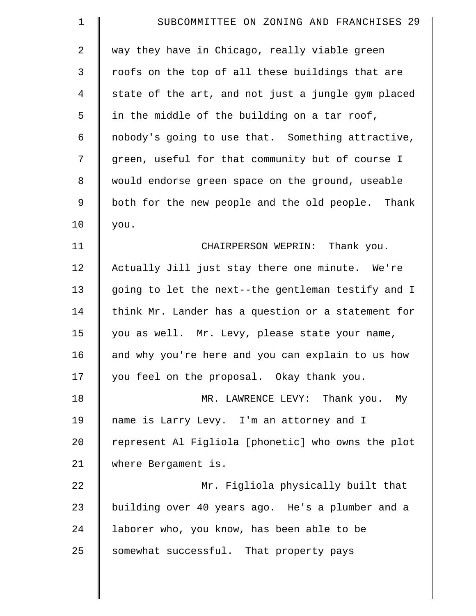| $\mathbf 1$    | SUBCOMMITTEE ON ZONING AND FRANCHISES 29           |
|----------------|----------------------------------------------------|
| $\overline{2}$ | way they have in Chicago, really viable green      |
| 3              | roofs on the top of all these buildings that are   |
| $\overline{4}$ | state of the art, and not just a jungle gym placed |
| 5              | in the middle of the building on a tar roof,       |
| 6              | nobody's going to use that. Something attractive,  |
| 7              | green, useful for that community but of course I   |
| 8              | would endorse green space on the ground, useable   |
| $\mathsf 9$    | both for the new people and the old people. Thank  |
| 10             | you.                                               |
| 11             | CHAIRPERSON WEPRIN: Thank you.                     |
| 12             | Actually Jill just stay there one minute. We're    |
| 13             | going to let the next--the gentleman testify and I |
| 14             | think Mr. Lander has a question or a statement for |
| 15             | you as well. Mr. Levy, please state your name,     |
| 16             | and why you're here and you can explain to us how  |
| 17             | you feel on the proposal. Okay thank you.          |
| 18             | MR. LAWRENCE LEVY: Thank you. My                   |
| 19             | name is Larry Levy. I'm an attorney and I          |
| 20             | represent Al Figliola [phonetic] who owns the plot |
| 21             | where Bergament is.                                |
| 22             | Mr. Figliola physically built that                 |
| 23             | building over 40 years ago. He's a plumber and a   |
| 24             | laborer who, you know, has been able to be         |
| 25             | somewhat successful. That property pays            |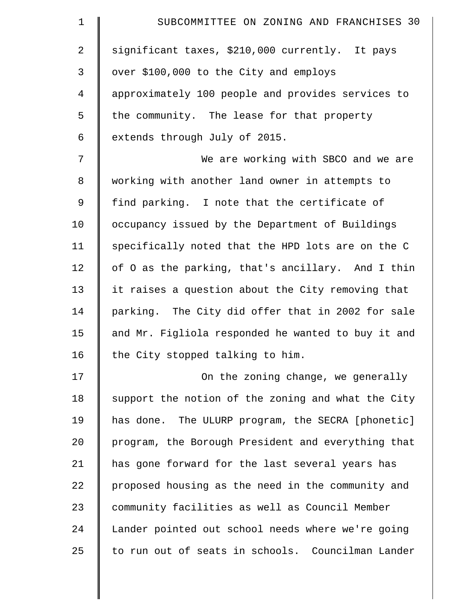| $\mathbf 1$    | SUBCOMMITTEE ON ZONING AND FRANCHISES 30           |
|----------------|----------------------------------------------------|
| 2              | significant taxes, \$210,000 currently. It pays    |
| 3              | over \$100,000 to the City and employs             |
| $\overline{4}$ | approximately 100 people and provides services to  |
| 5              | the community. The lease for that property         |
| 6              | extends through July of 2015.                      |
| 7              | We are working with SBCO and we are                |
| 8              | working with another land owner in attempts to     |
| 9              | find parking. I note that the certificate of       |
| 10             | occupancy issued by the Department of Buildings    |
| 11             | specifically noted that the HPD lots are on the C  |
| 12             | of 0 as the parking, that's ancillary. And I thin  |
| 13             | it raises a question about the City removing that  |
| 14             | parking. The City did offer that in 2002 for sale  |
| 15             | and Mr. Figliola responded he wanted to buy it and |
| 16             | the City stopped talking to him.                   |
| 17             | On the zoning change, we generally                 |
| 18             | support the notion of the zoning and what the City |
| 19             | has done. The ULURP program, the SECRA [phonetic]  |
| 20             | program, the Borough President and everything that |
| 21             | has gone forward for the last several years has    |
| 22             | proposed housing as the need in the community and  |
| 23             | community facilities as well as Council Member     |
| 24             | Lander pointed out school needs where we're going  |
| 25             | to run out of seats in schools. Councilman Lander  |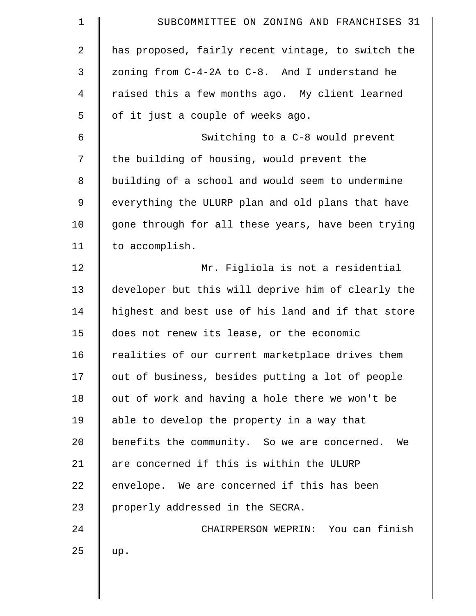| $\mathbf 1$    | SUBCOMMITTEE ON ZONING AND FRANCHISES 31           |
|----------------|----------------------------------------------------|
| $\overline{2}$ | has proposed, fairly recent vintage, to switch the |
| $\mathfrak{Z}$ | zoning from C-4-2A to C-8. And I understand he     |
| 4              | raised this a few months ago. My client learned    |
| 5              | of it just a couple of weeks ago.                  |
| 6              | Switching to a C-8 would prevent                   |
| 7              | the building of housing, would prevent the         |
| 8              | building of a school and would seem to undermine   |
| 9              | everything the ULURP plan and old plans that have  |
| 10             | gone through for all these years, have been trying |
| 11             | to accomplish.                                     |
| 12             | Mr. Figliola is not a residential                  |
| 13             | developer but this will deprive him of clearly the |
| 14             | highest and best use of his land and if that store |
| 15             | does not renew its lease, or the economic          |
| 16             | realities of our current marketplace drives them   |
| 17             | out of business, besides putting a lot of people   |
| 18             | out of work and having a hole there we won't be    |
| 19             | able to develop the property in a way that         |
| 20             | benefits the community. So we are concerned. We    |
| 21             | are concerned if this is within the ULURP          |
| 22             | envelope. We are concerned if this has been        |
| 23             | properly addressed in the SECRA.                   |
| 24             | CHAIRPERSON WEPRIN: You can finish                 |
| 25             | up.                                                |
|                |                                                    |
|                |                                                    |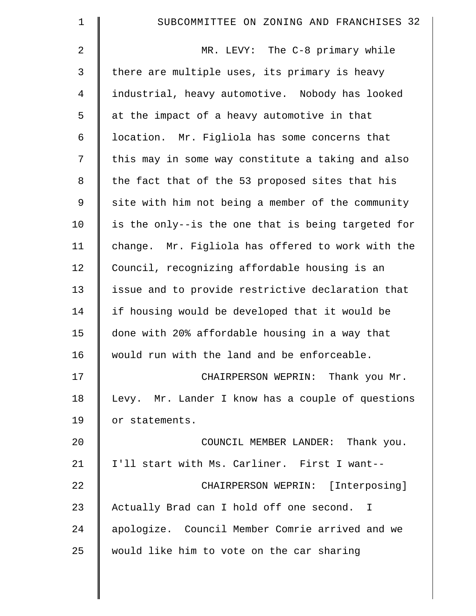| $\mathbf 1$  | SUBCOMMITTEE ON ZONING AND FRANCHISES 32           |
|--------------|----------------------------------------------------|
| 2            | MR. LEVY: The C-8 primary while                    |
| $\mathsf{3}$ | there are multiple uses, its primary is heavy      |
| 4            | industrial, heavy automotive. Nobody has looked    |
| 5            | at the impact of a heavy automotive in that        |
| 6            | location. Mr. Figliola has some concerns that      |
| 7            | this may in some way constitute a taking and also  |
| 8            | the fact that of the 53 proposed sites that his    |
| $\mathsf 9$  | site with him not being a member of the community  |
| 10           | is the only--is the one that is being targeted for |
| 11           | change. Mr. Figliola has offered to work with the  |
| 12           | Council, recognizing affordable housing is an      |
| 13           | issue and to provide restrictive declaration that  |
| 14           | if housing would be developed that it would be     |
| 15           | done with 20% affordable housing in a way that     |
| 16           | would run with the land and be enforceable.        |
| 17           | CHAIRPERSON WEPRIN: Thank you Mr.                  |
| 18           | Levy. Mr. Lander I know has a couple of questions  |
| 19           | or statements.                                     |
| 20           | COUNCIL MEMBER LANDER: Thank you.                  |
| 21           | I'll start with Ms. Carliner. First I want--       |
| 22           | CHAIRPERSON WEPRIN: [Interposing]                  |
| 23           | Actually Brad can I hold off one second. I         |
| 24           | apologize. Council Member Comrie arrived and we    |
| 25           | would like him to vote on the car sharing          |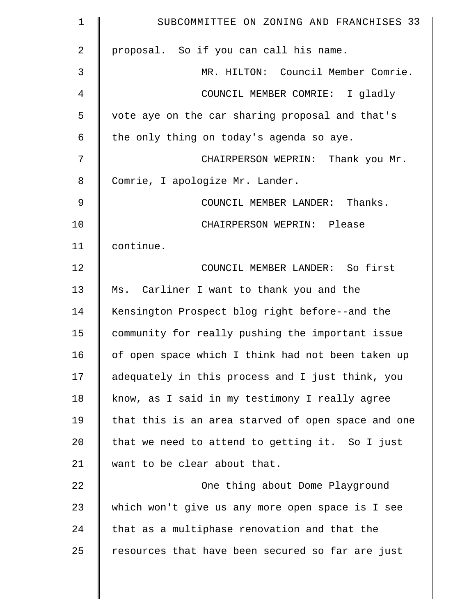| $\mathbf 1$    | SUBCOMMITTEE ON ZONING AND FRANCHISES 33           |
|----------------|----------------------------------------------------|
| $\overline{a}$ | proposal. So if you can call his name.             |
| 3              | MR. HILTON: Council Member Comrie.                 |
| 4              | COUNCIL MEMBER COMRIE: I gladly                    |
| 5              | vote aye on the car sharing proposal and that's    |
| 6              | the only thing on today's agenda so aye.           |
| 7              | CHAIRPERSON WEPRIN: Thank you Mr.                  |
| 8              | Comrie, I apologize Mr. Lander.                    |
| 9              | COUNCIL MEMBER LANDER: Thanks.                     |
| 10             | CHAIRPERSON WEPRIN: Please                         |
| 11             | continue.                                          |
| 12             | COUNCIL MEMBER LANDER: So first                    |
| 13             | Ms. Carliner I want to thank you and the           |
| 14             | Kensington Prospect blog right before--and the     |
| 15             | community for really pushing the important issue   |
| 16             | of open space which I think had not been taken up  |
| 17             | adequately in this process and I just think, you   |
| 18             | know, as I said in my testimony I really agree     |
| 19             | that this is an area starved of open space and one |
| 20             | that we need to attend to getting it. So I just    |
| 21             | want to be clear about that.                       |
| 22             | One thing about Dome Playground                    |
| 23             | which won't give us any more open space is I see   |
| 24             | that as a multiphase renovation and that the       |
| 25             | resources that have been secured so far are just   |
|                |                                                    |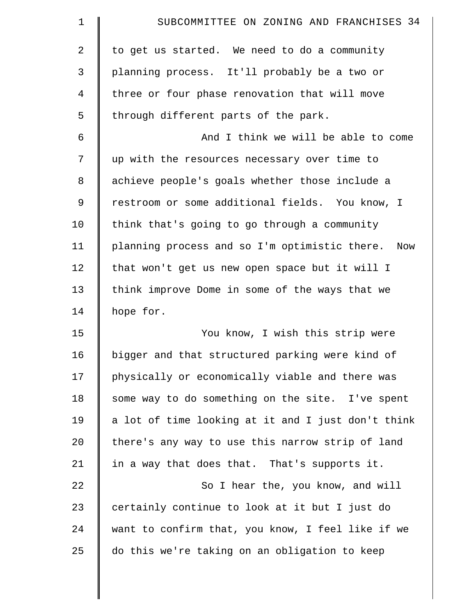| 1           | SUBCOMMITTEE ON ZONING AND FRANCHISES 34             |
|-------------|------------------------------------------------------|
| 2           | to get us started. We need to do a community         |
| 3           | planning process. It'll probably be a two or         |
| 4           | three or four phase renovation that will move        |
| 5           | through different parts of the park.                 |
| 6           | And I think we will be able to come                  |
| 7           | up with the resources necessary over time to         |
| 8           | achieve people's goals whether those include a       |
| $\mathsf 9$ | restroom or some additional fields. You know, I      |
| 10          | think that's going to go through a community         |
| 11          | planning process and so I'm optimistic there.<br>Now |
| 12          | that won't get us new open space but it will I       |
| 13          | think improve Dome in some of the ways that we       |
| 14          | hope for.                                            |
| 15          | You know, I wish this strip were                     |
| 16          | bigger and that structured parking were kind of      |
| 17          | physically or economically viable and there was      |
| 18          | some way to do something on the site. I've spent     |
| 19          | a lot of time looking at it and I just don't think   |
| 20          | there's any way to use this narrow strip of land     |
| 21          | in a way that does that. That's supports it.         |
| 22          | So I hear the, you know, and will                    |
| 23          | certainly continue to look at it but I just do       |
| 24          | want to confirm that, you know, I feel like if we    |
| 25          | do this we're taking on an obligation to keep        |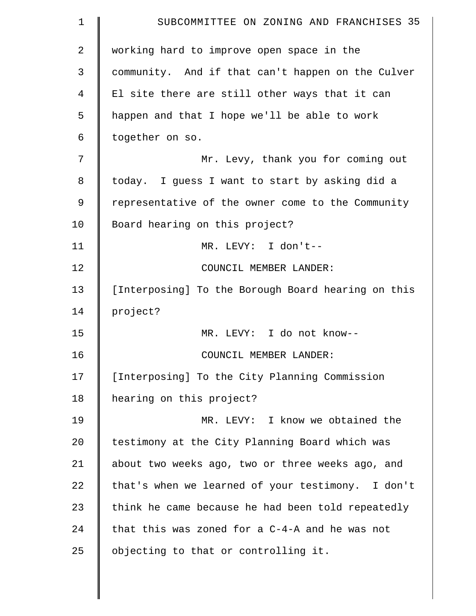| $\mathbf 1$    | SUBCOMMITTEE ON ZONING AND FRANCHISES 35           |
|----------------|----------------------------------------------------|
| $\overline{2}$ | working hard to improve open space in the          |
| 3              | community. And if that can't happen on the Culver  |
| 4              | El site there are still other ways that it can     |
| 5              | happen and that I hope we'll be able to work       |
| 6              | together on so.                                    |
| 7              | Mr. Levy, thank you for coming out                 |
| 8              | today. I guess I want to start by asking did a     |
| 9              | representative of the owner come to the Community  |
| 10             | Board hearing on this project?                     |
| 11             | MR. LEVY: I don't--                                |
| 12             | COUNCIL MEMBER LANDER:                             |
| 13             | [Interposing] To the Borough Board hearing on this |
| 14             | project?                                           |
| 15             | MR. LEVY: I do not know--                          |
| 16             | COUNCIL MEMBER LANDER:                             |
| 17             | [Interposing] To the City Planning Commission      |
| 18             | hearing on this project?                           |
| 19             | MR. LEVY: I know we obtained the                   |
| 20             | testimony at the City Planning Board which was     |
| 21             | about two weeks ago, two or three weeks ago, and   |
| 22             | that's when we learned of your testimony. I don't  |
| 23             | think he came because he had been told repeatedly  |
| 24             | that this was zoned for a C-4-A and he was not     |
| 25             | objecting to that or controlling it.               |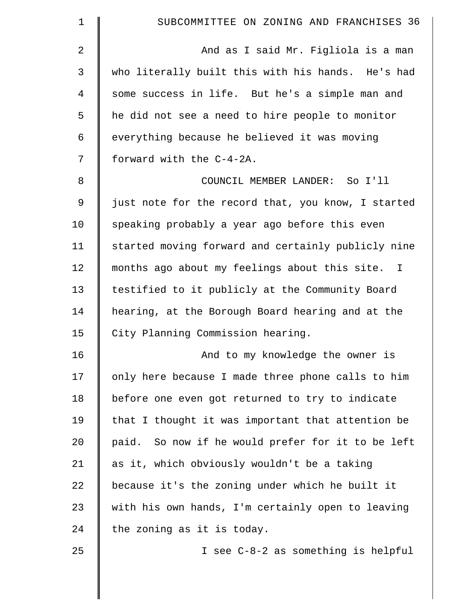| $\mathbf 1$ | SUBCOMMITTEE ON ZONING AND FRANCHISES 36           |
|-------------|----------------------------------------------------|
| 2           | And as I said Mr. Figliola is a man                |
| $\mathsf 3$ | who literally built this with his hands. He's had  |
| 4           | some success in life. But he's a simple man and    |
| 5           | he did not see a need to hire people to monitor    |
| 6           | everything because he believed it was moving       |
| 7           | forward with the C-4-2A.                           |
| 8           | COUNCIL MEMBER LANDER: So I'll                     |
| $\mathsf 9$ | just note for the record that, you know, I started |
| 10          | speaking probably a year ago before this even      |
| 11          | started moving forward and certainly publicly nine |
| 12          | months ago about my feelings about this site. I    |
| 13          | testified to it publicly at the Community Board    |
| 14          | hearing, at the Borough Board hearing and at the   |
| 15          | City Planning Commission hearing.                  |
| 16          | And to my knowledge the owner is                   |
| 17          | only here because I made three phone calls to him  |
| 18          | before one even got returned to try to indicate    |
| 19          | that I thought it was important that attention be  |
| 20          | paid. So now if he would prefer for it to be left  |
| 21          | as it, which obviously wouldn't be a taking        |
| 22          | because it's the zoning under which he built it    |
| 23          | with his own hands, I'm certainly open to leaving  |
| 24          | the zoning as it is today.                         |
| 25          | I see C-8-2 as something is helpful                |
|             |                                                    |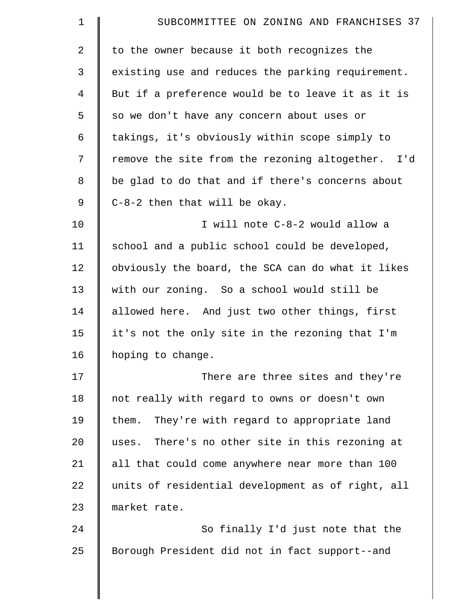| $\mathbf 1$ | SUBCOMMITTEE ON ZONING AND FRANCHISES 37          |
|-------------|---------------------------------------------------|
| 2           | to the owner because it both recognizes the       |
| 3           | existing use and reduces the parking requirement. |
| 4           | But if a preference would be to leave it as it is |
| 5           | so we don't have any concern about uses or        |
| 6           | takings, it's obviously within scope simply to    |
| 7           | remove the site from the rezoning altogether. I'd |
| 8           | be glad to do that and if there's concerns about  |
| 9           | C-8-2 then that will be okay.                     |
| 10          | I will note C-8-2 would allow a                   |
| 11          | school and a public school could be developed,    |
| 12          | obviously the board, the SCA can do what it likes |
| 13          | with our zoning. So a school would still be       |
| 14          | allowed here. And just two other things, first    |
| 15          | it's not the only site in the rezoning that I'm   |
| 16          | hoping to change.                                 |
| 17          | There are three sites and they're                 |
| 18          | not really with regard to owns or doesn't own     |
| 19          | them. They're with regard to appropriate land     |
| 20          | uses. There's no other site in this rezoning at   |
| 21          | all that could come anywhere near more than 100   |
| 22          | units of residential development as of right, all |
| 23          | market rate.                                      |
| 24          | So finally I'd just note that the                 |
| 25          | Borough President did not in fact support--and    |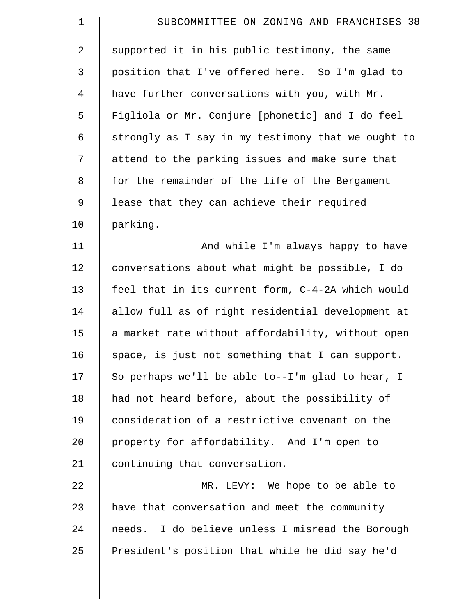| $\mathbf 1$    | SUBCOMMITTEE ON ZONING AND FRANCHISES 38           |
|----------------|----------------------------------------------------|
| $\overline{2}$ | supported it in his public testimony, the same     |
| 3              | position that I've offered here. So I'm glad to    |
| $\overline{4}$ | have further conversations with you, with Mr.      |
| 5              | Figliola or Mr. Conjure [phonetic] and I do feel   |
| 6              | strongly as I say in my testimony that we ought to |
| 7              | attend to the parking issues and make sure that    |
| 8              | for the remainder of the life of the Bergament     |
| $\mathsf 9$    | lease that they can achieve their required         |
| 10             | parking.                                           |
| 11             | And while I'm always happy to have                 |
| 12             | conversations about what might be possible, I do   |
| 13             | feel that in its current form, C-4-2A which would  |
| 14             | allow full as of right residential development at  |
| 15             | a market rate without affordability, without open  |
| 16             | space, is just not something that I can support.   |
| 17             | So perhaps we'll be able to--I'm glad to hear, I   |
| 18             | had not heard before, about the possibility of     |
| 19             | consideration of a restrictive covenant on the     |
| 20             | property for affordability. And I'm open to        |
| 21             | continuing that conversation.                      |
| 22             | MR. LEVY: We hope to be able to                    |
| 23             | have that conversation and meet the community      |
| 24             | needs. I do believe unless I misread the Borough   |
| 25             | President's position that while he did say he'd    |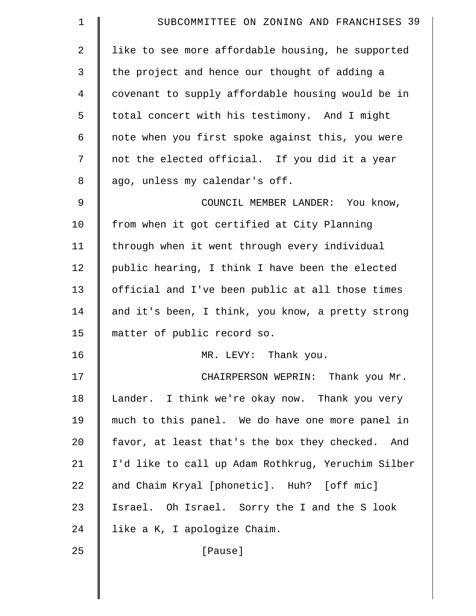| $\mathbf 1$ | SUBCOMMITTEE ON ZONING AND FRANCHISES 39           |
|-------------|----------------------------------------------------|
| 2           | like to see more affordable housing, he supported  |
| 3           | the project and hence our thought of adding a      |
| 4           | covenant to supply affordable housing would be in  |
| 5           | total concert with his testimony. And I might      |
| 6           | note when you first spoke against this, you were   |
| 7           | not the elected official. If you did it a year     |
| 8           | ago, unless my calendar's off.                     |
| 9           | COUNCIL MEMBER LANDER: You know,                   |
| 10          | from when it got certified at City Planning        |
| 11          | through when it went through every individual      |
| 12          | public hearing, I think I have been the elected    |
| 13          | official and I've been public at all those times   |
| 14          | and it's been, I think, you know, a pretty strong  |
| 15          | matter of public record so.                        |
| 16          | MR. LEVY: Thank you.                               |
| 17          | CHAIRPERSON WEPRIN: Thank you Mr.                  |
| 18          | Lander. I think we're okay now. Thank you very     |
| 19          | much to this panel. We do have one more panel in   |
| 20          | favor, at least that's the box they checked. And   |
| 21          | I'd like to call up Adam Rothkrug, Yeruchim Silber |
| 22          | and Chaim Kryal [phonetic]. Huh? [off mic]         |
| 23          | Israel. Oh Israel. Sorry the I and the S look      |
| 24          | like a K, I apologize Chaim.                       |
| 25          | [Pause]                                            |
|             |                                                    |
|             |                                                    |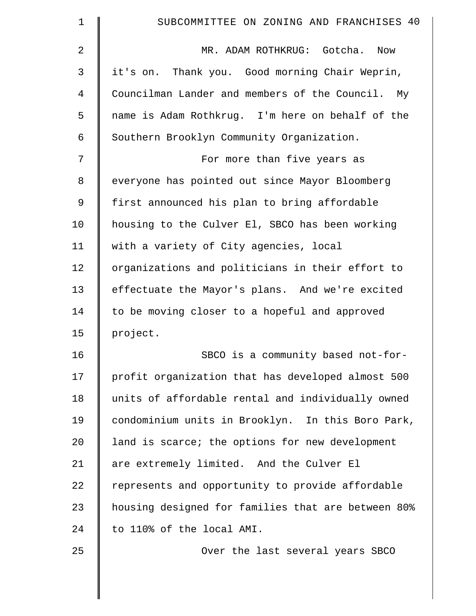| $\mathbf 1$    | SUBCOMMITTEE ON ZONING AND FRANCHISES 40           |
|----------------|----------------------------------------------------|
| 2              | MR. ADAM ROTHKRUG: Gotcha.<br>Now                  |
| 3              | it's on. Thank you. Good morning Chair Weprin,     |
| $\overline{4}$ | Councilman Lander and members of the Council. My   |
| 5              | name is Adam Rothkrug. I'm here on behalf of the   |
| 6              | Southern Brooklyn Community Organization.          |
| 7              | For more than five years as                        |
| 8              | everyone has pointed out since Mayor Bloomberg     |
| 9              | first announced his plan to bring affordable       |
| 10             | housing to the Culver El, SBCO has been working    |
| 11             | with a variety of City agencies, local             |
| 12             | organizations and politicians in their effort to   |
| 13             | effectuate the Mayor's plans. And we're excited    |
| 14             | to be moving closer to a hopeful and approved      |
| 15             | project.                                           |
| 16             | SBCO is a community based not-for-                 |
| 17             | profit organization that has developed almost 500  |
| 18             | units of affordable rental and individually owned  |
| 19             | condominium units in Brooklyn. In this Boro Park,  |
| 20             | land is scarce; the options for new development    |
| 21             | are extremely limited. And the Culver El           |
| 22             | represents and opportunity to provide affordable   |
| 23             | housing designed for families that are between 80% |
| 24             | to 110% of the local AMI.                          |
| 25             | Over the last several years SBCO                   |
|                |                                                    |
|                |                                                    |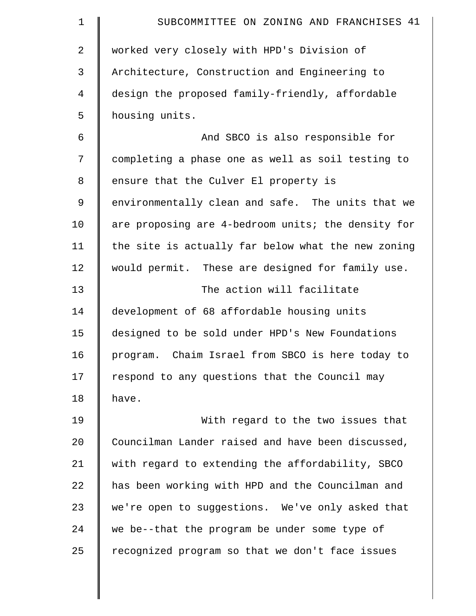| $\mathbf 1$ | SUBCOMMITTEE ON ZONING AND FRANCHISES 41            |
|-------------|-----------------------------------------------------|
| 2           | worked very closely with HPD's Division of          |
| 3           | Architecture, Construction and Engineering to       |
| 4           | design the proposed family-friendly, affordable     |
| 5           | housing units.                                      |
| 6           | And SBCO is also responsible for                    |
| 7           | completing a phase one as well as soil testing to   |
| 8           | ensure that the Culver El property is               |
| 9           | environmentally clean and safe. The units that we   |
| 10          | are proposing are 4-bedroom units; the density for  |
| 11          | the site is actually far below what the new zoning  |
| 12          | would permit. These are designed for family use.    |
| 13          | The action will facilitate                          |
| 14          | development of 68 affordable housing units          |
| 15          | designed to be sold under HPD's New Foundations     |
| 16          | Chaim Israel from SBCO is here today to<br>program. |
| 17          | respond to any questions that the Council may       |
| 18          | have.                                               |
| 19          | With regard to the two issues that                  |
| 20          | Councilman Lander raised and have been discussed,   |
| 21          | with regard to extending the affordability, SBCO    |
| 22          | has been working with HPD and the Councilman and    |
| 23          | we're open to suggestions. We've only asked that    |
| 24          | we be--that the program be under some type of       |
| 25          | recognized program so that we don't face issues     |
|             |                                                     |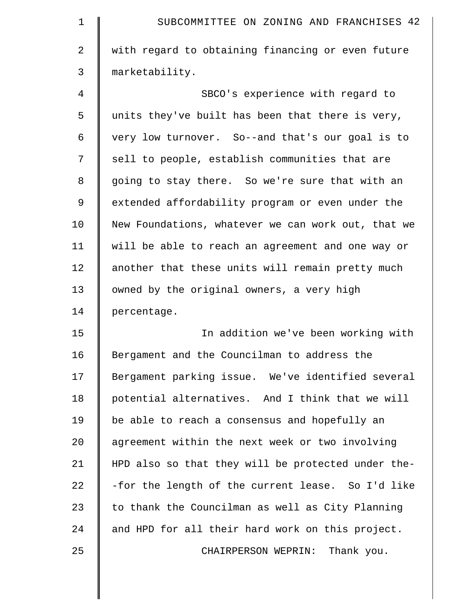| $\mathbf 1$ | SUBCOMMITTEE ON ZONING AND FRANCHISES 42           |
|-------------|----------------------------------------------------|
| 2           | with regard to obtaining financing or even future  |
| 3           | marketability.                                     |
| 4           | SBCO's experience with regard to                   |
| 5           | units they've built has been that there is very,   |
| 6           | very low turnover. So--and that's our goal is to   |
| 7           | sell to people, establish communities that are     |
| 8           | going to stay there. So we're sure that with an    |
| $\mathsf 9$ | extended affordability program or even under the   |
| 10          | New Foundations, whatever we can work out, that we |
| 11          | will be able to reach an agreement and one way or  |
| 12          | another that these units will remain pretty much   |
| 13          | owned by the original owners, a very high          |
| 14          | percentage.                                        |
| 15          | In addition we've been working with                |
| 16          | Bergament and the Councilman to address the        |
| 17          | Bergament parking issue. We've identified several  |
| 18          | potential alternatives. And I think that we will   |
| 19          | be able to reach a consensus and hopefully an      |
| 20          | agreement within the next week or two involving    |
| 21          | HPD also so that they will be protected under the- |
| 22          | -for the length of the current lease. So I'd like  |
| 23          | to thank the Councilman as well as City Planning   |
| 24          | and HPD for all their hard work on this project.   |
| 25          | Thank you.<br>CHAIRPERSON WEPRIN:                  |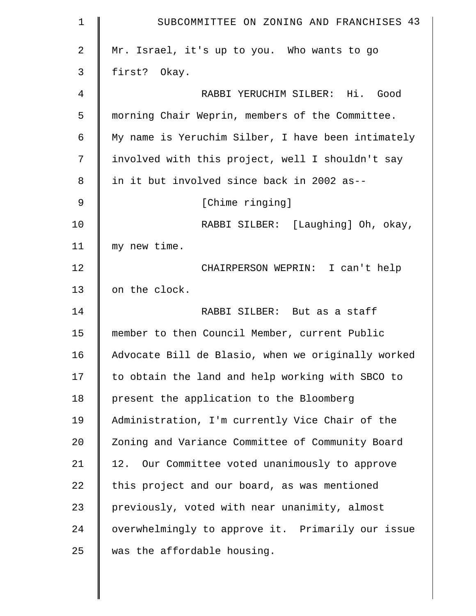| $\mathbf 1$ | SUBCOMMITTEE ON ZONING AND FRANCHISES 43           |
|-------------|----------------------------------------------------|
| 2           | Mr. Israel, it's up to you. Who wants to go        |
| 3           | first? Okay.                                       |
| 4           | RABBI YERUCHIM SILBER: Hi. Good                    |
| 5           | morning Chair Weprin, members of the Committee.    |
| 6           | My name is Yeruchim Silber, I have been intimately |
| 7           | involved with this project, well I shouldn't say   |
| 8           | in it but involved since back in 2002 as--         |
| 9           | [Chime ringing]                                    |
| 10          | RABBI SILBER: [Laughing] Oh, okay,                 |
| 11          | my new time.                                       |
| 12          | CHAIRPERSON WEPRIN: I can't help                   |
| 13          | on the clock.                                      |
| 14          | RABBI SILBER: But as a staff                       |
| 15          | member to then Council Member, current Public      |
| 16          | Advocate Bill de Blasio, when we originally worked |
| 17          | to obtain the land and help working with SBCO to   |
| 18          | present the application to the Bloomberg           |
| 19          | Administration, I'm currently Vice Chair of the    |
| 20          | Zoning and Variance Committee of Community Board   |
| 21          | 12. Our Committee voted unanimously to approve     |
| 22          | this project and our board, as was mentioned       |
| 23          | previously, voted with near unanimity, almost      |
| 24          | overwhelmingly to approve it. Primarily our issue  |
| 25          | was the affordable housing.                        |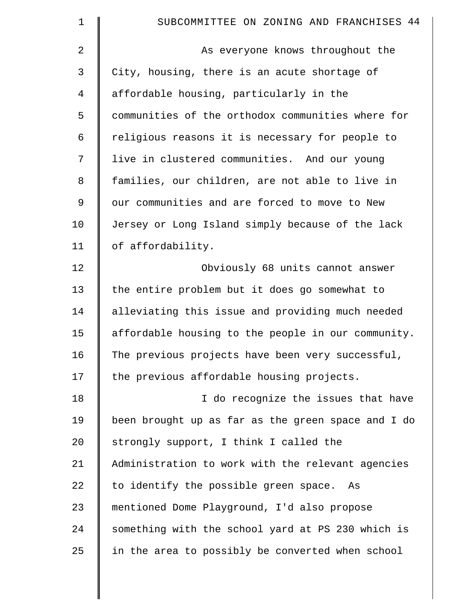| 1              | SUBCOMMITTEE ON ZONING AND FRANCHISES 44           |
|----------------|----------------------------------------------------|
| 2              | As everyone knows throughout the                   |
| 3              | City, housing, there is an acute shortage of       |
| $\overline{4}$ | affordable housing, particularly in the            |
| 5              | communities of the orthodox communities where for  |
| 6              | religious reasons it is necessary for people to    |
| 7              | live in clustered communities. And our young       |
| 8              | families, our children, are not able to live in    |
| 9              | our communities and are forced to move to New      |
| 10             | Jersey or Long Island simply because of the lack   |
| 11             | of affordability.                                  |
| 12             | Obviously 68 units cannot answer                   |
| 13             | the entire problem but it does go somewhat to      |
| 14             | alleviating this issue and providing much needed   |
| 15             | affordable housing to the people in our community. |
| 16             | The previous projects have been very successful,   |
| 17             | the previous affordable housing projects.          |
| 18             | I do recognize the issues that have                |
| 19             | been brought up as far as the green space and I do |
| 20             | strongly support, I think I called the             |
| 21             | Administration to work with the relevant agencies  |
| 22             | to identify the possible green space. As           |
| 23             | mentioned Dome Playground, I'd also propose        |
| 24             | something with the school yard at PS 230 which is  |
| 25             | in the area to possibly be converted when school   |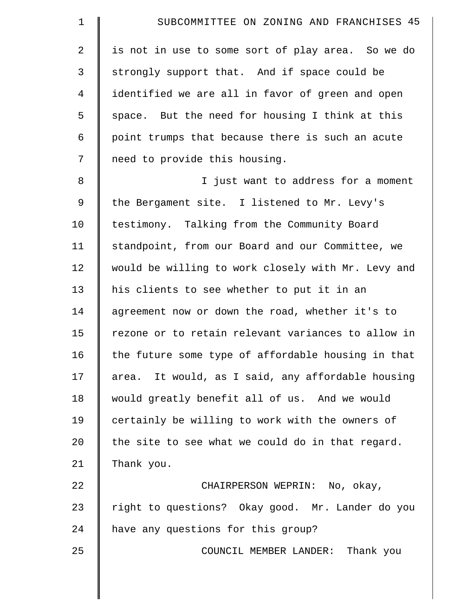| 1           | SUBCOMMITTEE ON ZONING AND FRANCHISES 45           |
|-------------|----------------------------------------------------|
| 2           | is not in use to some sort of play area. So we do  |
| 3           | strongly support that. And if space could be       |
| 4           | identified we are all in favor of green and open   |
| 5           | space. But the need for housing I think at this    |
| 6           | point trumps that because there is such an acute   |
| 7           | need to provide this housing.                      |
| 8           | I just want to address for a moment                |
| $\mathsf 9$ | the Bergament site. I listened to Mr. Levy's       |
| 10          | testimony. Talking from the Community Board        |
| 11          | standpoint, from our Board and our Committee, we   |
| 12          | would be willing to work closely with Mr. Levy and |
| 13          | his clients to see whether to put it in an         |
| 14          | agreement now or down the road, whether it's to    |
| 15          | rezone or to retain relevant variances to allow in |
| 16          | the future some type of affordable housing in that |
| 17          | area. It would, as I said, any affordable housing  |
| 18          | would greatly benefit all of us. And we would      |
| 19          | certainly be willing to work with the owners of    |
| 20          | the site to see what we could do in that regard.   |
| 21          | Thank you.                                         |
| 22          | CHAIRPERSON WEPRIN: No, okay,                      |
| 23          | right to questions? Okay good. Mr. Lander do you   |
| 24          | have any questions for this group?                 |
| 25          | COUNCIL MEMBER LANDER: Thank you                   |
|             |                                                    |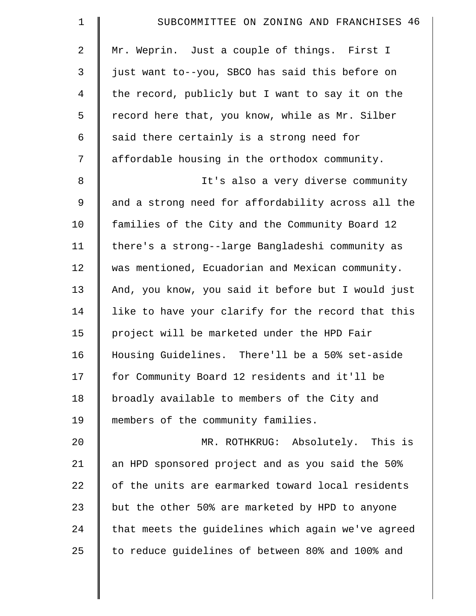| $\mathbf 1$    | SUBCOMMITTEE ON ZONING AND FRANCHISES 46           |
|----------------|----------------------------------------------------|
| 2              | Mr. Weprin. Just a couple of things. First I       |
| 3              | just want to--you, SBCO has said this before on    |
| $\overline{4}$ | the record, publicly but I want to say it on the   |
| 5              | record here that, you know, while as Mr. Silber    |
| 6              | said there certainly is a strong need for          |
| 7              | affordable housing in the orthodox community.      |
| $\,8\,$        | It's also a very diverse community                 |
| $\mathsf 9$    | and a strong need for affordability across all the |
| 10             | families of the City and the Community Board 12    |
| 11             | there's a strong--large Bangladeshi community as   |
| 12             | was mentioned, Ecuadorian and Mexican community.   |
| 13             | And, you know, you said it before but I would just |
| 14             | like to have your clarify for the record that this |
| 15             | project will be marketed under the HPD Fair        |
| 16             | Housing Guidelines. There'll be a 50% set-aside    |
| 17             | for Community Board 12 residents and it'll be      |
| 18             | broadly available to members of the City and       |
| 19             | members of the community families.                 |
| 20             | MR. ROTHKRUG: Absolutely. This is                  |
| 21             | an HPD sponsored project and as you said the 50%   |
| 22             | of the units are earmarked toward local residents  |
| 23             | but the other 50% are marketed by HPD to anyone    |
| 24             | that meets the guidelines which again we've agreed |
| 25             | to reduce guidelines of between 80% and 100% and   |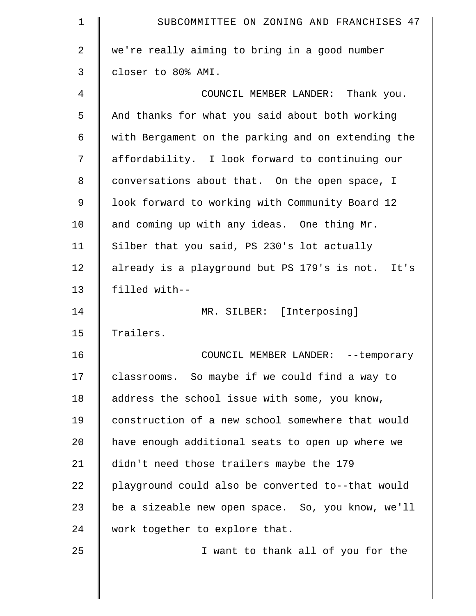| 1           | SUBCOMMITTEE ON ZONING AND FRANCHISES 47           |
|-------------|----------------------------------------------------|
| 2           | we're really aiming to bring in a good number      |
| 3           | closer to 80% AMI.                                 |
| 4           | COUNCIL MEMBER LANDER: Thank you.                  |
| 5           | And thanks for what you said about both working    |
| 6           | with Bergament on the parking and on extending the |
| 7           | affordability. I look forward to continuing our    |
| 8           | conversations about that. On the open space, I     |
| $\mathsf 9$ | look forward to working with Community Board 12    |
| 10          | and coming up with any ideas. One thing Mr.        |
| 11          | Silber that you said, PS 230's lot actually        |
| 12          | already is a playground but PS 179's is not. It's  |
| 13          | filled with--                                      |
| 14          | MR. SILBER: [Interposing]                          |
| 15          | Trailers.                                          |
| 16          | COUNCIL MEMBER LANDER: -- temporary                |
| 17          | classrooms. So maybe if we could find a way to     |
| 18          | address the school issue with some, you know,      |
| 19          | construction of a new school somewhere that would  |
| 20          | have enough additional seats to open up where we   |
| 21          | didn't need those trailers maybe the 179           |
| 22          | playground could also be converted to--that would  |
| 23          | be a sizeable new open space. So, you know, we'll  |
| 24          | work together to explore that.                     |
|             |                                                    |
| 25          | I want to thank all of you for the                 |
|             |                                                    |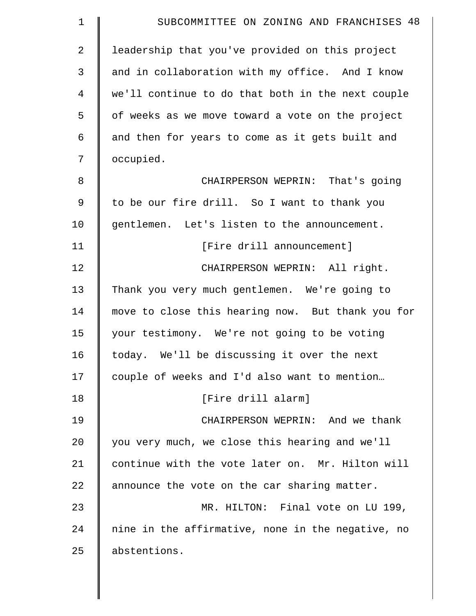| $\mathbf 1$    | SUBCOMMITTEE ON ZONING AND FRANCHISES 48          |
|----------------|---------------------------------------------------|
| $\overline{2}$ | leadership that you've provided on this project   |
| 3              | and in collaboration with my office. And I know   |
| 4              | we'll continue to do that both in the next couple |
| 5              | of weeks as we move toward a vote on the project  |
| 6              | and then for years to come as it gets built and   |
| 7              | occupied.                                         |
| 8              | CHAIRPERSON WEPRIN: That's going                  |
| $\mathsf 9$    | to be our fire drill. So I want to thank you      |
| 10             | gentlemen. Let's listen to the announcement.      |
| 11             | [Fire drill announcement]                         |
| 12             | CHAIRPERSON WEPRIN: All right.                    |
| 13             | Thank you very much gentlemen. We're going to     |
| 14             | move to close this hearing now. But thank you for |
| 15             | your testimony. We're not going to be voting      |
| 16             | today. We'll be discussing it over the next       |
| 17             | couple of weeks and I'd also want to mention      |
| 18             | [Fire drill alarm]                                |
| 19             | CHAIRPERSON WEPRIN: And we thank                  |
| 20             | you very much, we close this hearing and we'll    |
| 21             | continue with the vote later on. Mr. Hilton will  |
| 22             | announce the vote on the car sharing matter.      |
| 23             | MR. HILTON: Final vote on LU 199,                 |
| 24             | nine in the affirmative, none in the negative, no |
| 25             | abstentions.                                      |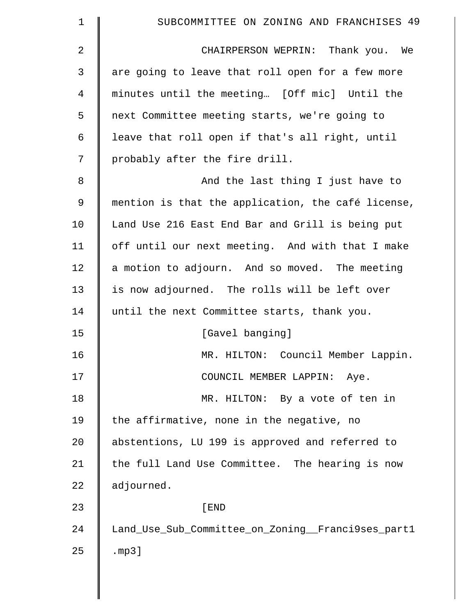| $\mathbf 1$    | SUBCOMMITTEE ON ZONING AND FRANCHISES 49           |
|----------------|----------------------------------------------------|
| 2              | CHAIRPERSON WEPRIN: Thank you. We                  |
| 3              | are going to leave that roll open for a few more   |
| $\overline{4}$ | minutes until the meeting [Off mic] Until the      |
| 5              | next Committee meeting starts, we're going to      |
| 6              | leave that roll open if that's all right, until    |
| 7              | probably after the fire drill.                     |
| 8              | And the last thing I just have to                  |
| 9              | mention is that the application, the café license, |
| 10             | Land Use 216 East End Bar and Grill is being put   |
| 11             | off until our next meeting. And with that I make   |
| 12             | a motion to adjourn. And so moved. The meeting     |
| 13             | is now adjourned. The rolls will be left over      |
| 14             | until the next Committee starts, thank you.        |
| 15             | [Gavel banging]                                    |
| 16             | MR. HILTON: Council Member Lappin.                 |
| 17             | COUNCIL MEMBER LAPPIN: Aye.                        |
| 18             | MR. HILTON: By a vote of ten in                    |
| 19             | the affirmative, none in the negative, no          |
| 20             | abstentions, LU 199 is approved and referred to    |
| 21             | the full Land Use Committee. The hearing is now    |
| 22             | adjourned.                                         |
| 23             | [END                                               |
| 24             | Land_Use_Sub_Committee_on_Zoning__Franci9ses_part1 |
| 25             | .mp3]                                              |
|                |                                                    |